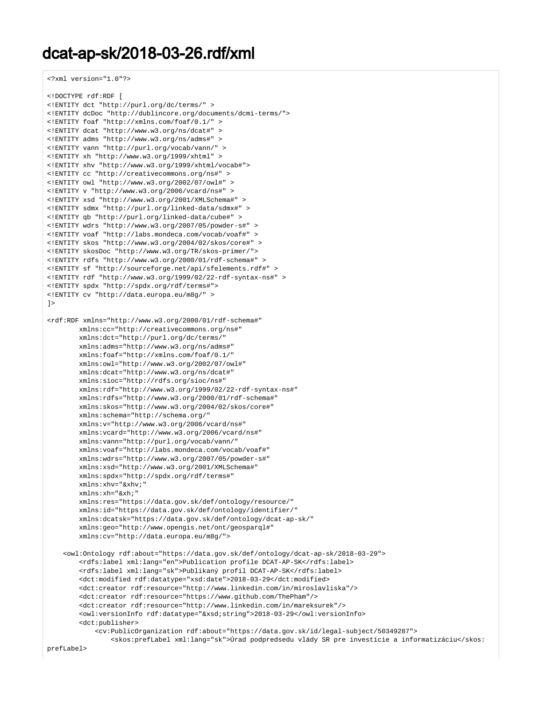## dcat-ap-sk/2018-03-26.rdf/xml

<?xml version="1.0"?>

```
<!DOCTYPE rdf:RDF [
<!ENTITY dct "http://purl.org/dc/terms/" >
<!ENTITY dcDoc "http://dublincore.org/documents/dcmi-terms/">
<!ENTITY foaf "http://xmlns.com/foaf/0.1/" >
<!ENTITY dcat "http://www.w3.org/ns/dcat#" >
<!ENTITY adms "http://www.w3.org/ns/adms#" >
<!ENTITY vann "http://purl.org/vocab/vann/" >
<!ENTITY xh "http://www.w3.org/1999/xhtml" >
<!ENTITY xhv "http://www.w3.org/1999/xhtml/vocab#">
<!ENTITY cc "http://creativecommons.org/ns#" >
\leq!ENTITY owl "http://www.w3.org/2002/07/owl#
<!ENTITY v "http://www.w3.org/2006/vcard/ns#" >
<!ENTITY xsd "http://www.w3.org/2001/XMLSchema#" >
<!ENTITY sdmx "http://purl.org/linked-data/sdmx#" >
<!ENTITY qb "http://purl.org/linked-data/cube#" >
<!ENTITY wdrs "http://www.w3.org/2007/05/powder-s#" >
<!ENTITY voaf "http://labs.mondeca.com/vocab/voaf#" >
<!ENTITY skos "http://www.w3.org/2004/02/skos/core#" >
<!ENTITY skosDoc "http://www.w3.org/TR/skos-primer/">
<!ENTITY rdfs "http://www.w3.org/2000/01/rdf-schema#" >
<!ENTITY sf "http://sourceforge.net/api/sfelements.rdf#" >
<!ENTITY rdf "http://www.w3.org/1999/02/22-rdf-syntax-ns#" >
<!ENTITY spdx "http://spdx.org/rdf/terms#">
<!ENTITY cv "http://data.europa.eu/m8g/" >
\geq<rdf:RDF xmlns="http://www.w3.org/2000/01/rdf-schema#"
        xmlns:cc="http://creativecommons.org/ns#" 
        xmlns:dct="http://purl.org/dc/terms/"
        xmlns:adms="http://www.w3.org/ns/adms#"
        xmlns:foaf="http://xmlns.com/foaf/0.1/"
        xmlns:owl="http://www.w3.org/2002/07/owl#"
        xmlns:dcat="http://www.w3.org/ns/dcat#"
        xmlns:sioc="http://rdfs.org/sioc/ns#"
        xmlns:rdf="http://www.w3.org/1999/02/22-rdf-syntax-ns#"
        xmlns:rdfs="http://www.w3.org/2000/01/rdf-schema#"
        xmlns:skos="http://www.w3.org/2004/02/skos/core#"
        xmlns:schema="http://schema.org/" 
        xmlns:v="http://www.w3.org/2006/vcard/ns#"
        xmlns:vcard="http://www.w3.org/2006/vcard/ns#"
        xmlns:vann="http://purl.org/vocab/vann/"
        xmlns:voaf="http://labs.mondeca.com/vocab/voaf#" 
        xmlns:wdrs="http://www.w3.org/2007/05/powder-s#" 
        xmlns:xsd="http://www.w3.org/2001/XMLSchema#"
        xmlns:spdx="http://spdx.org/rdf/terms#"
        xmlns:xhv="&xhv;"
        xmlns:xh="&xh;"
        xmlns:res="https://data.gov.sk/def/ontology/resource/"
        xmlns:id="https://data.gov.sk/def/ontology/identifier/"
        xmlns:dcatsk="https://data.gov.sk/def/ontology/dcat-ap-sk/"
        xmlns:geo="http://www.opengis.net/ont/geosparql#"
        xmlns:cv="http://data.europa.eu/m8g/">
     <owl:Ontology rdf:about="https://data.gov.sk/def/ontology/dcat-ap-sk/2018-03-29">
        <rdfs:label xml:lang="en">Publication profile DCAT-AP-SK</rdfs:label>
         <rdfs:label xml:lang="sk">Publikaný profil DCAT-AP-SK</rdfs:label> 
         <dct:modified rdf:datatype="xsd:date">2018-03-29</dct:modified>
         <dct:creator rdf:resource="http://www.linkedin.com/in/miroslavliska"/>
         <dct:creator rdf:resource="https://www.github.com/ThePham"/>
        <dct:creator rdf:resource="http://www.linkedin.com/in/mareksurek"/>
         <owl:versionInfo rdf:datatype="&xsd;string">2018-03-29</owl:versionInfo>
         <dct:publisher>
             <cv:PublicOrganization rdf:about="https://data.gov.sk/id/legal-subject/50349287">
                 <skos:prefLabel xml:lang="sk">Úrad podpredsedu vlády SR pre investície a informatizáciu</skos:
```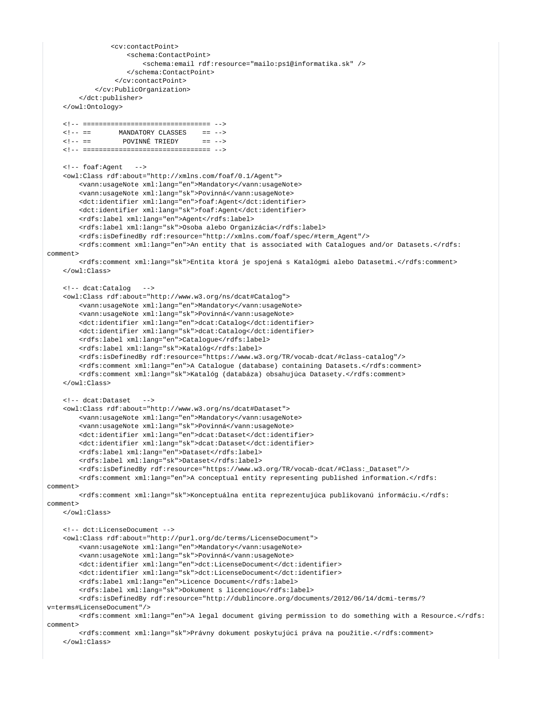```
 <cv:contactPoint>
                     <schema:ContactPoint>
                         <schema:email rdf:resource="mailo:ps1@informatika.sk" />
                     </schema:ContactPoint>
                  </cv:contactPoint>
             </cv:PublicOrganization>
         </dct:publisher>
     </owl:Ontology>
     <!-- ================================ -->
    \langle!-- == MANDATORY CLASSES == -->
     <!-- == POVINNÉ TRIEDY == -->
     <!-- ================================ -->
     <!-- foaf:Agent --> 
     <owl:Class rdf:about="http://xmlns.com/foaf/0.1/Agent">
         <vann:usageNote xml:lang="en">Mandatory</vann:usageNote>
         <vann:usageNote xml:lang="sk">Povinná</vann:usageNote>
         <dct:identifier xml:lang="en">foaf:Agent</dct:identifier>
         <dct:identifier xml:lang="sk">foaf:Agent</dct:identifier>
         <rdfs:label xml:lang="en">Agent</rdfs:label>
         <rdfs:label xml:lang="sk">Osoba alebo Organizácia</rdfs:label>
         <rdfs:isDefinedBy rdf:resource="http://xmlns.com/foaf/spec/#term_Agent"/>
         <rdfs:comment xml:lang="en">An entity that is associated with Catalogues and/or Datasets.</rdfs:
comment> 
         <rdfs:comment xml:lang="sk">Entita ktorá je spojená s Katalógmi alebo Datasetmi.</rdfs:comment> 
     </owl:Class>
     <!-- dcat:Catalog --> 
     <owl:Class rdf:about="http://www.w3.org/ns/dcat#Catalog">
         <vann:usageNote xml:lang="en">Mandatory</vann:usageNote>
         <vann:usageNote xml:lang="sk">Povinná</vann:usageNote>
         <dct:identifier xml:lang="en">dcat:Catalog</dct:identifier>
         <dct:identifier xml:lang="sk">dcat:Catalog</dct:identifier>
         <rdfs:label xml:lang="en">Catalogue</rdfs:label>
         <rdfs:label xml:lang="sk">Katalóg</rdfs:label>
         <rdfs:isDefinedBy rdf:resource="https://www.w3.org/TR/vocab-dcat/#class-catalog"/>
         <rdfs:comment xml:lang="en">A Catalogue (database) containing Datasets.</rdfs:comment>
         <rdfs:comment xml:lang="sk">Katalóg (databáza) obsahujúca Datasety.</rdfs:comment> 
     </owl:Class> 
     <!-- dcat:Dataset --> 
     <owl:Class rdf:about="http://www.w3.org/ns/dcat#Dataset">
         <vann:usageNote xml:lang="en">Mandatory</vann:usageNote>
         <vann:usageNote xml:lang="sk">Povinná</vann:usageNote>
         <dct:identifier xml:lang="en">dcat:Dataset</dct:identifier>
         <dct:identifier xml:lang="sk">dcat:Dataset</dct:identifier>
         <rdfs:label xml:lang="en">Dataset</rdfs:label>
         <rdfs:label xml:lang="sk">Dataset</rdfs:label>
         <rdfs:isDefinedBy rdf:resource="https://www.w3.org/TR/vocab-dcat/#Class:_Dataset"/>
         <rdfs:comment xml:lang="en">A conceptual entity representing published information.</rdfs:
comment>
         <rdfs:comment xml:lang="sk">Konceptuálna entita reprezentujúca publikovanú informáciu.</rdfs:
comment> 
     </owl:Class> 
     <!-- dct:LicenseDocument -->
     <owl:Class rdf:about="http://purl.org/dc/terms/LicenseDocument">
         <vann:usageNote xml:lang="en">Mandatory</vann:usageNote>
         <vann:usageNote xml:lang="sk">Povinná</vann:usageNote>
         <dct:identifier xml:lang="en">dct:LicenseDocument</dct:identifier>
         <dct:identifier xml:lang="sk">dct:LicenseDocument</dct:identifier>
         <rdfs:label xml:lang="en">Licence Document</rdfs:label>
         <rdfs:label xml:lang="sk">Dokument s licenciou</rdfs:label>
         <rdfs:isDefinedBy rdf:resource="http://dublincore.org/documents/2012/06/14/dcmi-terms/?
v=terms#LicenseDocument"/>
         <rdfs:comment xml:lang="en">A legal document giving permission to do something with a Resource.</rdfs:
comment>
         <rdfs:comment xml:lang="sk">Právny dokument poskytujúci práva na použitie.</rdfs:comment>
     </owl:Class>
```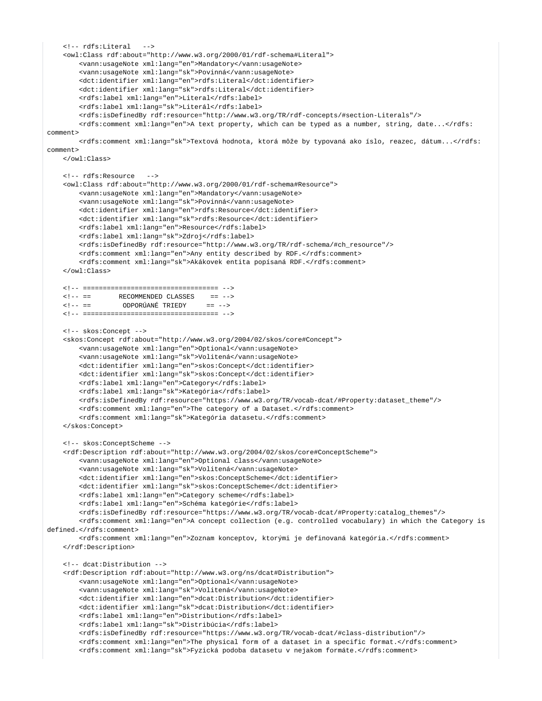```
<!-- rdfs:Literal
     <owl:Class rdf:about="http://www.w3.org/2000/01/rdf-schema#Literal">
         <vann:usageNote xml:lang="en">Mandatory</vann:usageNote> 
         <vann:usageNote xml:lang="sk">Povinná</vann:usageNote>
        <dct:identifier xml:lang="en">rdfs:Literal</dct:identifier>
        <dct:identifier xml:lang="sk">rdfs:Literal</dct:identifier>
        <rdfs:label xml:lang="en">Literal</rdfs:label>
         <rdfs:label xml:lang="sk">Literál</rdfs:label>
        <rdfs:isDefinedBy rdf:resource="http://www.w3.org/TR/rdf-concepts/#section-Literals"/>
        <rdfs:comment xml:lang="en">A text property, which can be typed as a number, string, date...</rdfs:
comment> 
        <rdfs:comment xml:lang="sk">Textová hodnota, ktorá môže by typovaná ako íslo, reazec, dátum...</rdfs:
comment> 
    </owl:Class> 
    <!-- rdfs:Resource --> 
     <owl:Class rdf:about="http://www.w3.org/2000/01/rdf-schema#Resource">
         <vann:usageNote xml:lang="en">Mandatory</vann:usageNote>
         <vann:usageNote xml:lang="sk">Povinná</vann:usageNote>
         <dct:identifier xml:lang="en">rdfs:Resource</dct:identifier>
         <dct:identifier xml:lang="sk">rdfs:Resource</dct:identifier>
        <rdfs:label xml:lang="en">Resource</rdfs:label>
        <rdfs:label xml:lang="sk">Zdroj</rdfs:label>
        <rdfs:isDefinedBy rdf:resource="http://www.w3.org/TR/rdf-schema/#ch_resource"/>
        <rdfs:comment xml:lang="en">Any entity described by RDF.</rdfs:comment> 
         <rdfs:comment xml:lang="sk">Akákovek entita popísaná RDF.</rdfs:comment> 
     </owl:Class> 
    <!-- ================================== -->
   \langle!-- == RECOMMENDED CLASSES == -->
   \leq!-- == \qquad ODPORÚANÉ TRIEDY == -->
    <!-- ================================== -->
    <!-- skos:Concept --> 
     <skos:Concept rdf:about="http://www.w3.org/2004/02/skos/core#Concept">
        <vann:usageNote xml:lang="en">Optional</vann:usageNote>
         <vann:usageNote xml:lang="sk">Volitená</vann:usageNote>
        <dct:identifier xml:lang="en">skos:Concept</dct:identifier>
        <dct:identifier xml:lang="sk">skos:Concept</dct:identifier>
         <rdfs:label xml:lang="en">Category</rdfs:label>
         <rdfs:label xml:lang="sk">Kategória</rdfs:label>
        <rdfs:isDefinedBy rdf:resource="https://www.w3.org/TR/vocab-dcat/#Property:dataset_theme"/>
         <rdfs:comment xml:lang="en">The category of a Dataset.</rdfs:comment>
        <rdfs: comment xml: lang="sk">Kategória datasetu.</rdfs: comment>
    </skos:Concept> 
     <!-- skos:ConceptScheme -->
     <rdf:Description rdf:about="http://www.w3.org/2004/02/skos/core#ConceptScheme">
         <vann:usageNote xml:lang="en">Optional class</vann:usageNote>
         <vann:usageNote xml:lang="sk">Volitená</vann:usageNote>
        <dct:identifier xml:lang="en">skos:ConceptScheme</dct:identifier>
         <dct:identifier xml:lang="sk">skos:ConceptScheme</dct:identifier>
        <rdfs:label xml:lang="en">Category scheme</rdfs:label>
         <rdfs:label xml:lang="en">Schéma kategórie</rdfs:label>
        <rdfs:isDefinedBy rdf:resource="https://www.w3.org/TR/vocab-dcat/#Property:catalog_themes"/>
         <rdfs:comment xml:lang="en">A concept collection (e.g. controlled vocabulary) in which the Category is 
defined.</rdfs:comment>
         <rdfs:comment xml:lang="en">Zoznam konceptov, ktorými je definovaná kategória.</rdfs:comment>
    </rdf:Description> 
    <!-- dcat:Distribution --> 
     <rdf:Description rdf:about="http://www.w3.org/ns/dcat#Distribution">
         <vann:usageNote xml:lang="en">Optional</vann:usageNote>
         <vann:usageNote xml:lang="sk">Volitená</vann:usageNote>
         <dct:identifier xml:lang="en">dcat:Distribution</dct:identifier>
         <dct:identifier xml:lang="sk">dcat:Distribution</dct:identifier>
         <rdfs:label xml:lang="en">Distribution</rdfs:label>
        <rdfs:label xml:lang="sk">Distribúcia</rdfs:label>
        <rdfs:isDefinedBy rdf:resource="https://www.w3.org/TR/vocab-dcat/#class-distribution"/>
         <rdfs:comment xml:lang="en">The physical form of a dataset in a specific format.</rdfs:comment>
         <rdfs:comment xml:lang="sk">Fyzická podoba datasetu v nejakom formáte.</rdfs:comment>
```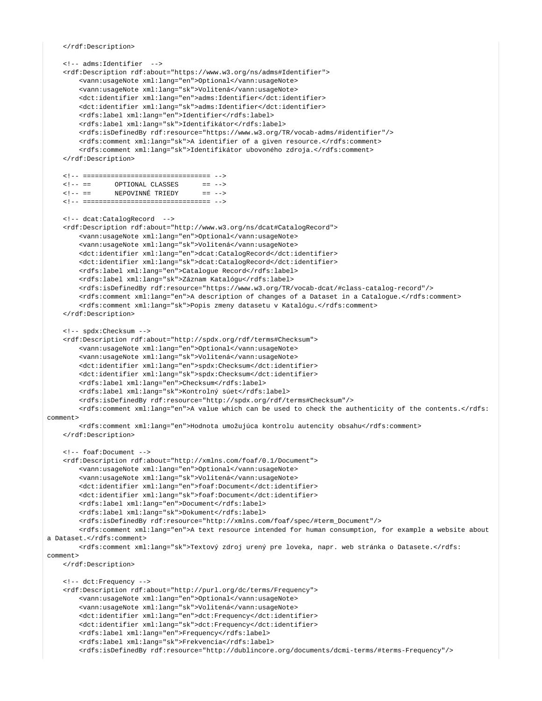</rdf:Description>

```
 <!-- adms:Identifier -->
     <rdf:Description rdf:about="https://www.w3.org/ns/adms#Identifier">
         <vann:usageNote xml:lang="en">Optional</vann:usageNote>
         <vann:usageNote xml:lang="sk">Volitená</vann:usageNote>
         <dct:identifier xml:lang="en">adms:Identifier</dct:identifier>
         <dct:identifier xml:lang="sk">adms:Identifier</dct:identifier>
        <rdfs:label xml:lang="en">Identifier</rdfs:label>
        <rdfs:label xml:lang="sk">Identifikátor</rdfs:label>
        <rdfs:isDefinedBy rdf:resource="https://www.w3.org/TR/vocab-adms/#identifier"/>
         <rdfs:comment xml:lang="sk">A identifier of a given resource.</rdfs:comment>
         <rdfs:comment xml:lang="sk">Identifikátor ubovoného zdroja.</rdfs:comment>
     </rdf:Description>
    <!-- ================================ -->
   \langle!-- == \langle OPTIONAL CLASSES == -->
    <!-- == NEPOVINNÉ TRIEDY == -->
    <!-- ================================ --> 
    <!-- dcat:CatalogRecord --> 
    <rdf:Description rdf:about="http://www.w3.org/ns/dcat#CatalogRecord">
        <vann:usageNote xml:lang="en">Optional</vann:usageNote>
         <vann:usageNote xml:lang="sk">Volitená</vann:usageNote>
        <dct:identifier xml:lang="en">dcat:CatalogRecord</dct:identifier>
         <dct:identifier xml:lang="sk">dcat:CatalogRecord</dct:identifier>
         <rdfs:label xml:lang="en">Catalogue Record</rdfs:label>
         <rdfs:label xml:lang="sk">Záznam Katalógu</rdfs:label>
         <rdfs:isDefinedBy rdf:resource="https://www.w3.org/TR/vocab-dcat/#class-catalog-record"/>
         <rdfs:comment xml:lang="en">A description of changes of a Dataset in a Catalogue.</rdfs:comment> 
         <rdfs:comment xml:lang="sk">Popis zmeny datasetu v Katalógu.</rdfs:comment> 
     </rdf:Description> 
     <!-- spdx:Checksum --> 
     <rdf:Description rdf:about="http://spdx.org/rdf/terms#Checksum">
        <vann:usageNote xml:lang="en">Optional</vann:usageNote>
         <vann:usageNote xml:lang="sk">Volitená</vann:usageNote>
        <dct:identifier xml:lang="en">spdx:Checksum</dct:identifier>
         <dct:identifier xml:lang="sk">spdx:Checksum</dct:identifier>
         <rdfs:label xml:lang="en">Checksum</rdfs:label>
        <rdfs:label xml:lang="sk">Kontrolný súet</rdfs:label>
         <rdfs:isDefinedBy rdf:resource="http://spdx.org/rdf/terms#Checksum"/>
         <rdfs:comment xml:lang="en">A value which can be used to check the authenticity of the contents.</rdfs:
comment> 
         <rdfs:comment xml:lang="en">Hodnota umožujúca kontrolu autencity obsahu</rdfs:comment> 
    </rdf:Description> 
    <!-- foaf:Document -->
    <rdf:Description rdf:about="http://xmlns.com/foaf/0.1/Document">
         <vann:usageNote xml:lang="en">Optional</vann:usageNote>
         <vann:usageNote xml:lang="sk">Volitená</vann:usageNote>
         <dct:identifier xml:lang="en">foaf:Document</dct:identifier>
         <dct:identifier xml:lang="sk">foaf:Document</dct:identifier>
         <rdfs:label xml:lang="en">Document</rdfs:label>
        <rdfs:label xml:lang="sk">Dokument</rdfs:label>
        <rdfs:isDefinedBy rdf:resource="http://xmlns.com/foaf/spec/#term_Document"/>
        <rdfs:comment xml:lang="en">A text resource intended for human consumption, for example a website about 
a Dataset.</rdfs:comment>
        <rdfs:comment xml:lang="sk">Textový zdroj urený pre loveka, napr. web stránka o Datasete.</rdfs:
comment> 
    </rdf:Description> 
    <!-- dct:Frequency -->
    <rdf:Description rdf:about="http://purl.org/dc/terms/Frequency">
         <vann:usageNote xml:lang="en">Optional</vann:usageNote>
         <vann:usageNote xml:lang="sk">Volitená</vann:usageNote>
         <dct:identifier xml:lang="en">dct:Frequency</dct:identifier>
        <dct:identifier xml:lang="sk">dct:Frequency</dct:identifier>
        <rdfs:label xml:lang="en">Frequency</rdfs:label>
        <rdfs:label xml:lang="sk">Frekvencia</rdfs:label>
         <rdfs:isDefinedBy rdf:resource="http://dublincore.org/documents/dcmi-terms/#terms-Frequency"/>
```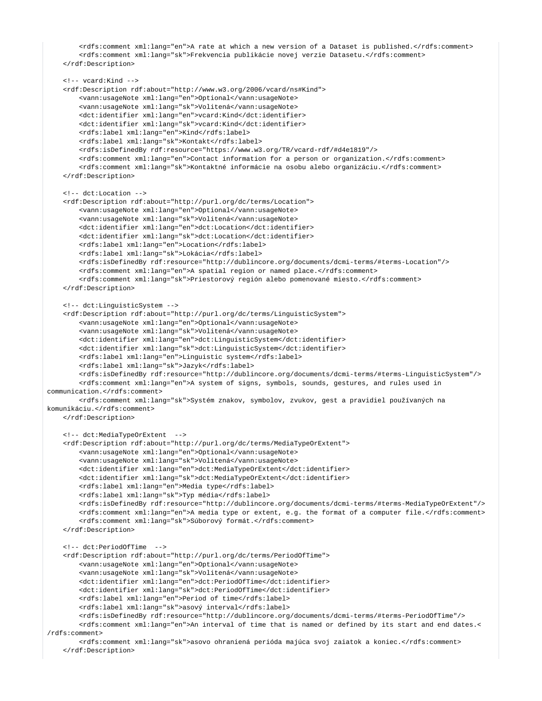```
 <rdfs:comment xml:lang="en">A rate at which a new version of a Dataset is published.</rdfs:comment>
         <rdfs:comment xml:lang="sk">Frekvencia publikácie novej verzie Datasetu.</rdfs:comment>
    </rdf:Description>
    <!-- vcard:Kind -->
    <rdf:Description rdf:about="http://www.w3.org/2006/vcard/ns#Kind">
         <vann:usageNote xml:lang="en">Optional</vann:usageNote>
         <vann:usageNote xml:lang="sk">Volitená</vann:usageNote>
        <dct:identifier xml:lang="en">vcard:Kind</dct:identifier>
        <dct:identifier xml:lang="sk">vcard:Kind</dct:identifier>
        <rdfs:label xml:lang="en">Kind</rdfs:label>
        <rdfs:label xml:lang="sk">Kontakt</rdfs:label>
         <rdfs:isDefinedBy rdf:resource="https://www.w3.org/TR/vcard-rdf/#d4e1819"/>
         <rdfs:comment xml:lang="en">Contact information for a person or organization.</rdfs:comment>
         <rdfs:comment xml:lang="sk">Kontaktné informácie na osobu alebo organizáciu.</rdfs:comment>
     </rdf:Description> 
    <!-- dct:Location -->
    <rdf:Description rdf:about="http://purl.org/dc/terms/Location">
         <vann:usageNote xml:lang="en">Optional</vann:usageNote>
         <vann:usageNote xml:lang="sk">Volitená</vann:usageNote>
        <dct:identifier xml:lang="en">dct:Location</dct:identifier>
        <dct:identifier xml:lang="sk">dct:Location</dct:identifier>
        <rdfs:label xml:lang="en">Location</rdfs:label>
        <rdfs:label xml:lang="sk">Lokácia</rdfs:label>
         <rdfs:isDefinedBy rdf:resource="http://dublincore.org/documents/dcmi-terms/#terms-Location"/>
        <rdfs:comment xml:lang="en">A spatial region or named place.</rdfs:comment>
         <rdfs:comment xml:lang="sk">Priestorový región alebo pomenované miesto.</rdfs:comment>
     </rdf:Description> 
    <!-- dct:LinguisticSystem -->
     <rdf:Description rdf:about="http://purl.org/dc/terms/LinguisticSystem">
         <vann:usageNote xml:lang="en">Optional</vann:usageNote>
         <vann:usageNote xml:lang="sk">Volitená</vann:usageNote>
         <dct:identifier xml:lang="en">dct:LinguisticSystem</dct:identifier>
        <dct:identifier xml:lang="sk">dct:LinguisticSystem</dct:identifier>
        <rdfs:label xml:lang="en">Linguistic system</rdfs:label>
        <rdfs:label xml:lang="sk">Jazyk</rdfs:label>
        <rdfs:isDefinedBy rdf:resource="http://dublincore.org/documents/dcmi-terms/#terms-LinguisticSystem"/>
         <rdfs:comment xml:lang="en">A system of signs, symbols, sounds, gestures, and rules used in 
communication.</rdfs:comment>
        <rdfs:comment xml:lang="sk">Systém znakov, symbolov, zvukov, gest a pravidiel používaných na 
komunikáciu.</rdfs:comment>
    </rdf:Description> 
    <!-- dct:MediaTypeOrExtent -->
     <rdf:Description rdf:about="http://purl.org/dc/terms/MediaTypeOrExtent">
         <vann:usageNote xml:lang="en">Optional</vann:usageNote>
         <vann:usageNote xml:lang="sk">Volitená</vann:usageNote>
         <dct:identifier xml:lang="en">dct:MediaTypeOrExtent</dct:identifier>
        <dct:identifier xml:lang="sk">dct:MediaTypeOrExtent</dct:identifier>
         <rdfs:label xml:lang="en">Media type</rdfs:label>
         <rdfs:label xml:lang="sk">Typ média</rdfs:label>
         <rdfs:isDefinedBy rdf:resource="http://dublincore.org/documents/dcmi-terms/#terms-MediaTypeOrExtent"/>
         <rdfs:comment xml:lang="en">A media type or extent, e.g. the format of a computer file.</rdfs:comment>
        <rdfs:comment xml:lang="sk">Súborový formát.</rdfs:comment>
     </rdf:Description> 
    <!-- dct:PeriodOfTime -->
     <rdf:Description rdf:about="http://purl.org/dc/terms/PeriodOfTime">
         <vann:usageNote xml:lang="en">Optional</vann:usageNote>
         <vann:usageNote xml:lang="sk">Volitená</vann:usageNote>
         <dct:identifier xml:lang="en">dct:PeriodOfTime</dct:identifier>
         <dct:identifier xml:lang="sk">dct:PeriodOfTime</dct:identifier>
         <rdfs:label xml:lang="en">Period of time</rdfs:label>
         <rdfs:label xml:lang="sk">asový interval</rdfs:label>
         <rdfs:isDefinedBy rdf:resource="http://dublincore.org/documents/dcmi-terms/#terms-PeriodOfTime"/>
        <rdfs:comment xml:lang="en">An interval of time that is named or defined by its start and end dates.<
/rdfs:comment>
         <rdfs:comment xml:lang="sk">asovo ohraniená perióda majúca svoj zaiatok a koniec.</rdfs:comment>
     </rdf:Description>
```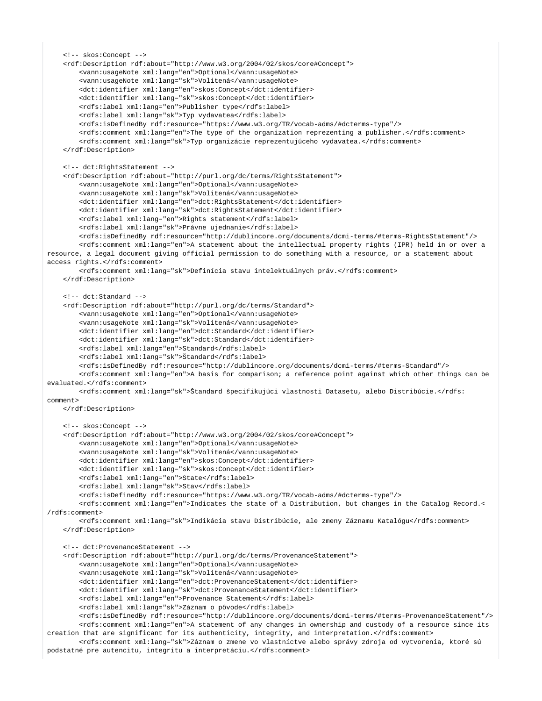```
 <!-- skos:Concept -->
    <rdf:Description rdf:about="http://www.w3.org/2004/02/skos/core#Concept">
         <vann:usageNote xml:lang="en">Optional</vann:usageNote>
         <vann:usageNote xml:lang="sk">Volitená</vann:usageNote>
         <dct:identifier xml:lang="en">skos:Concept</dct:identifier>
         <dct:identifier xml:lang="sk">skos:Concept</dct:identifier>
         <rdfs:label xml:lang="en">Publisher type</rdfs:label>
        <rdfs:label xml:lang="sk">Typ vydavatea</rdfs:label>
        <rdfs:isDefinedBy rdf:resource="https://www.w3.org/TR/vocab-adms/#dcterms-type"/>
         <rdfs:comment xml:lang="en">The type of the organization reprezenting a publisher.</rdfs:comment>
         <rdfs:comment xml:lang="sk">Typ organizácie reprezentujúceho vydavatea.</rdfs:comment>
     </rdf:Description>
    <!-- dct:RightsStatement -->
    <rdf:Description rdf:about="http://purl.org/dc/terms/RightsStatement">
         <vann:usageNote xml:lang="en">Optional</vann:usageNote>
         <vann:usageNote xml:lang="sk">Volitená</vann:usageNote>
         <dct:identifier xml:lang="en">dct:RightsStatement</dct:identifier>
         <dct:identifier xml:lang="sk">dct:RightsStatement</dct:identifier>
         <rdfs:label xml:lang="en">Rights statement</rdfs:label>
        <rdfs:label xml:lang="sk">Právne ujednanie</rdfs:label>
        <rdfs:isDefinedBy rdf:resource="http://dublincore.org/documents/dcmi-terms/#terms-RightsStatement"/>
        <rdfs:comment xml:lang="en">A statement about the intellectual property rights (IPR) held in or over a 
resource, a legal document giving official permission to do something with a resource, or a statement about 
access rights.</rdfs:comment>
         <rdfs:comment xml:lang="sk">Definícia stavu intelektuálnych práv.</rdfs:comment>
    </rdf:Description> 
    <!-- dct:Standard -->
    <rdf:Description rdf:about="http://purl.org/dc/terms/Standard">
         <vann:usageNote xml:lang="en">Optional</vann:usageNote>
         <vann:usageNote xml:lang="sk">Volitená</vann:usageNote>
         <dct:identifier xml:lang="en">dct:Standard</dct:identifier>
        <dct:identifier xml:lang="sk">dct:Standard</dct:identifier>
        <rdfs:label xml:lang="en">Standard</rdfs:label>
        <rdfs:label xml:lang="sk">Štandard</rdfs:label>
        <rdfs:isDefinedBy rdf:resource="http://dublincore.org/documents/dcmi-terms/#terms-Standard"/>
         <rdfs:comment xml:lang="en">A basis for comparison; a reference point against which other things can be 
evaluated.</rdfs:comment>
        <rdfs:comment xml:lang="sk">Štandard špecifikujúci vlastnosti Datasetu, alebo Distribúcie.</rdfs:
comment>
    </rdf:Description> 
    <!-- skos:Concept -->
    <rdf:Description rdf:about="http://www.w3.org/2004/02/skos/core#Concept">
         <vann:usageNote xml:lang="en">Optional</vann:usageNote>
         <vann:usageNote xml:lang="sk">Volitená</vann:usageNote>
        <dct:identifier xml:lang="en">skos:Concept</dct:identifier>
        <dct:identifier xml:lang="sk">skos:Concept</dct:identifier>
        <rdfs:label xml:lang="en">State</rdfs:label>
         <rdfs:label xml:lang="sk">Stav</rdfs:label>
         <rdfs:isDefinedBy rdf:resource="https://www.w3.org/TR/vocab-adms/#dcterms-type"/>
         <rdfs:comment xml:lang="en">Indicates the state of a Distribution, but changes in the Catalog Record.<
/rdfs:comment>
         <rdfs:comment xml:lang="sk">Indikácia stavu Distribúcie, ale zmeny Záznamu Katalógu</rdfs:comment>
    </rdf:Description>
    <!-- dct:ProvenanceStatement -->
     <rdf:Description rdf:about="http://purl.org/dc/terms/ProvenanceStatement">
         <vann:usageNote xml:lang="en">Optional</vann:usageNote>
         <vann:usageNote xml:lang="sk">Volitená</vann:usageNote>
         <dct:identifier xml:lang="en">dct:ProvenanceStatement</dct:identifier>
         <dct:identifier xml:lang="sk">dct:ProvenanceStatement</dct:identifier>
         <rdfs:label xml:lang="en">Provenance Statement</rdfs:label>
         <rdfs:label xml:lang="sk">Záznam o pôvode</rdfs:label>
         <rdfs:isDefinedBy rdf:resource="http://dublincore.org/documents/dcmi-terms/#terms-ProvenanceStatement"/>
        <rdfs:comment xml:lang="en">A statement of any changes in ownership and custody of a resource since its 
creation that are significant for its authenticity, integrity, and interpretation.</rdfs:comment>
         <rdfs:comment xml:lang="sk">Záznam o zmene vo vlastníctve alebo správy zdroja od vytvorenia, ktoré sú 
podstatné pre autencitu, integritu a interpretáciu.</rdfs:comment>
```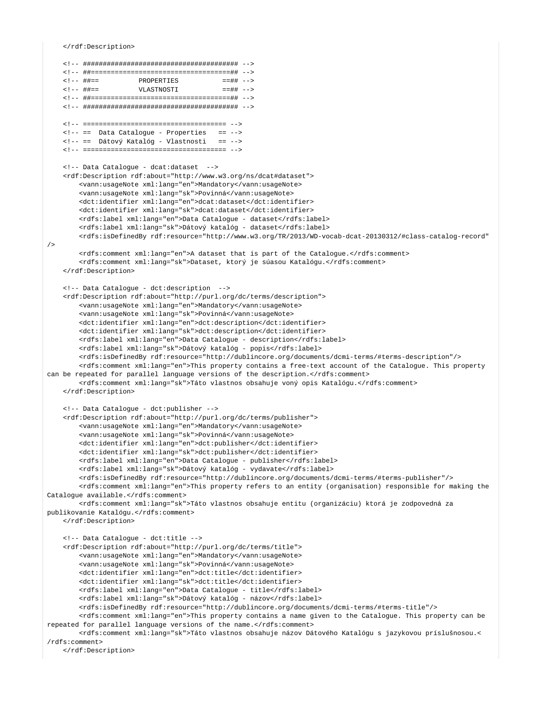</rdf:Description>

```
\leq! -- ##==
                 PROPERTIES
                                      = = \# + - >VLASTNOSTI
   \leq ! - - ##==
                                       = = ## -->
   <!-- == Data Catalogue - Properties == -->
   <!-- == Dátový Katalóg - Vlastnosti == -->
   <!-- Data Catalogue - dcat:dataset -->
   <rdf:Description rdf:about="http://www.w3.org/ns/dcat#dataset">
       <vann:usageNote xml:lang="en">Mandatory</vann:usageNote>
       <vann:usageNote xml:lang="sk">Povinná</vann:usageNote>
       <dct:identifier xml:lang="en">dcat:dataset</dct:identifier>
       <dct:identifier xml:lang="sk">dcat:dataset</dct:identifier>
       <rdfs:label xml:lang="en">Data Catalogue - dataset</rdfs:label>
       <rdfs:label xml:lang="sk">Dátový katalóg - dataset</rdfs:label>
       <rdfs:isDefinedBy rdf:resource="http://www.w3.org/TR/2013/WD-vocab-dcat-20130312/#class-catalog-record"
/<rdfs:comment xml:lang="en">A dataset that is part of the Catalogue.</rdfs:comment>
       <rdfs:comment xml:lang="sk">Dataset, ktorý je súasou Katalógu.</rdfs:comment>
   </rdf:Description>
   <!-- Data Cataloque - dct:description -->
   <rdf:Description rdf:about="http://purl.org/dc/terms/description">
       <vann:usageNote xml:lang="en">Mandatory</vann:usageNote>
       <vann:usageNote xml:lang="sk">Povinná</vann:usageNote>
       <dct:identifier xml:lang="en">dct:description</dct:identifier>
       <dct:identifier xml:lang="sk">dct:description</dct:identifier>
       <rdfs:label xml:lang="en">Data Catalogue - description</rdfs:label>
       <rdfs:label xml:lang="sk">Dátový katalóg - popis</rdfs:label>
       <rdfs:isDefinedBy rdf:resource="http://dublincore.org/documents/dcmi-terms/#terms-description"/>
       <rdfs:comment xml:lang="en">This property contains a free-text account of the Catalogue. This property
can be repeated for parallel language versions of the description.</rdfs:comment>
       <rdfs:comment xml:lang="sk">Táto vlastnos obsahuje voný opis Katalógu.</rdfs:comment>
   </rdf:Description>
   <!-- Data Catalogue - dct:publisher -->
   <rdf:Description rdf:about="http://purl.org/dc/terms/publisher">
       <vann:usageNote xml:lang="en">Mandatory</vann:usageNote>
       <vann:usageNote xml:lang="sk">Povinná</vann:usageNote>
       <dct:identifier xml:lang="en">dct:publisher</dct:identifier>
       <dct:identifier xml:lang="sk">dct:publisher</dct:identifier>
       <rdfs:label xml:lang="en">Data Catalogue - publisher</rdfs:label>
       <rdfs:label xml:lang="sk">Dátový katalóg - vydavate</rdfs:label>
       <rdfs:isDefinedBy rdf:resource="http://dublincore.org/documents/dcmi-terms/#terms-publisher"/>
       <rdfs:comment xml:lang="en">This property refers to an entity (organisation) responsible for making the
Catalogue available.</rdfs:comment>
       <rdfs:comment xml:lang="sk">Táto vlastnos obsahuje entitu (organizáciu) ktorá je zodpovedná za
publikovanie Katalógu.</rdfs:comment>
   </rdf:Description>
   <!-- Data Catalogue - dct:title -->
   <rdf:Description rdf:about="http://purl.org/dc/terms/title">
       <vann:usageNote xml:lang="en">Mandatory</vann:usageNote>
       <vann:usageNote xml:lang="sk">Povinná</vann:usageNote>
       <dct:identifier xml:lang="en">dct:title</dct:identifier>
       <dct:identifier xml:lang="sk">dct:title</dct:identifier>
       <rdfs:label xml:lang="en">Data Catalogue - title</rdfs:label>
       <rdfs:label xml:lang="sk">Dátový katalóg - názov</rdfs:label>
       <rdfs:isDefinedBy rdf:resource="http://dublincore.org/documents/dcmi-terms/#terms-title"/>
       <rdfs:comment xml:lang="en">This property contains a name given to the Catalogue. This property can be
repeated for parallel language versions of the name.</rdfs:comment>
       <rdfs:comment xml:lang="sk">Táto vlastnos obsahuje názov Dátového Katalógu s jazykovou príslušnosou.<
/rdfs:comment></rdf:Description>
```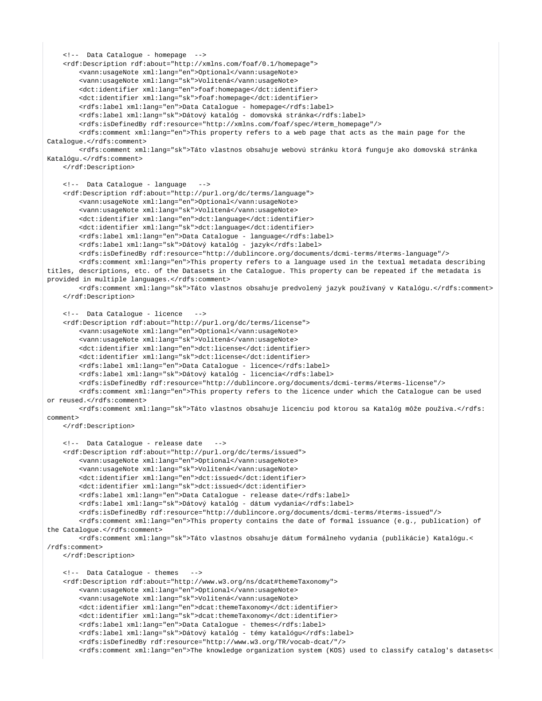```
 <!-- Data Catalogue - homepage -->
    <rdf:Description rdf:about="http://xmlns.com/foaf/0.1/homepage"> 
         <vann:usageNote xml:lang="en">Optional</vann:usageNote>
         <vann:usageNote xml:lang="sk">Volitená</vann:usageNote>
         <dct:identifier xml:lang="en">foaf:homepage</dct:identifier>
         <dct:identifier xml:lang="sk">foaf:homepage</dct:identifier>
         <rdfs:label xml:lang="en">Data Catalogue - homepage</rdfs:label>
         <rdfs:label xml:lang="sk">Dátový katalóg - domovská stránka</rdfs:label>
        <rdfs:isDefinedBy rdf:resource="http://xmlns.com/foaf/spec/#term_homepage"/>
        <rdfs:comment xml:lang="en">This property refers to a web page that acts as the main page for the 
Catalogue.</rdfs:comment>
         <rdfs:comment xml:lang="sk">Táto vlastnos obsahuje webovú stránku ktorá funguje ako domovská stránka 
Katalógu.</rdfs:comment>
    </rdf:Description>
    <!-- Data Catalogue - language -->
    <rdf:Description rdf:about="http://purl.org/dc/terms/language"> 
         <vann:usageNote xml:lang="en">Optional</vann:usageNote>
         <vann:usageNote xml:lang="sk">Volitená</vann:usageNote>
         <dct:identifier xml:lang="en">dct:language</dct:identifier>
        <dct:identifier xml:lang="sk">dct:language</dct:identifier>
        <rdfs:label xml:lang="en">Data Catalogue - language</rdfs:label>
         <rdfs:label xml:lang="sk">Dátový katalóg - jazyk</rdfs:label>
        <rdfs:isDefinedBy rdf:resource="http://dublincore.org/documents/dcmi-terms/#terms-language"/>
         <rdfs:comment xml:lang="en">This property refers to a language used in the textual metadata describing 
titles, descriptions, etc. of the Datasets in the Catalogue. This property can be repeated if the metadata is 
provided in multiple languages.</rdfs:comment>
        <rdfs:comment xml:lang="sk">Táto vlastnos obsahuje predvolený jazyk používaný v Katalógu.</rdfs:comment>
    </rdf:Description>
    <!-- Data Catalogue - licence -->
     <rdf:Description rdf:about="http://purl.org/dc/terms/license"> 
         <vann:usageNote xml:lang="en">Optional</vann:usageNote>
         <vann:usageNote xml:lang="sk">Volitená</vann:usageNote>
        <dct:identifier xml:lang="en">dct:license</dct:identifier>
        <dct:identifier xml:lang="sk">dct:license</dct:identifier>
        <rdfs:label xml:lang="en">Data Catalogue - licence</rdfs:label>
         <rdfs:label xml:lang="sk">Dátový katalóg - licencia</rdfs:label>
         <rdfs:isDefinedBy rdf:resource="http://dublincore.org/documents/dcmi-terms/#terms-license"/>
         <rdfs:comment xml:lang="en">This property refers to the licence under which the Catalogue can be used 
or reused.</rdfs:comment>
        <rdfs:comment xml:lang="sk">Táto vlastnos obsahuje licenciu pod ktorou sa Katalóg môže používa.</rdfs:
comment>
    </rdf:Description>
    <!-- Data Catalogue - release date -->
    <rdf:Description rdf:about="http://purl.org/dc/terms/issued"> 
         <vann:usageNote xml:lang="en">Optional</vann:usageNote>
         <vann:usageNote xml:lang="sk">Volitená</vann:usageNote>
        <dct:identifier xml:lang="en">dct:issued</dct:identifier>
         <dct:identifier xml:lang="sk">dct:issued</dct:identifier>
         <rdfs:label xml:lang="en">Data Catalogue - release date</rdfs:label>
         <rdfs:label xml:lang="sk">Dátový katalóg - dátum vydania</rdfs:label>
        <rdfs:isDefinedBy rdf:resource="http://dublincore.org/documents/dcmi-terms/#terms-issued"/>
         <rdfs:comment xml:lang="en">This property contains the date of formal issuance (e.g., publication) of 
the Catalogue.</rdfs:comment>
        <rdfs:comment xml:lang="sk">Táto vlastnos obsahuje dátum formálneho vydania (publikácie) Katalógu.<
/rdfs:comment>
    </rdf:Description>
    <!-- Data Catalogue - themes -->
    <rdf:Description rdf:about="http://www.w3.org/ns/dcat#themeTaxonomy"> 
        <vann:usageNote xml:lang="en">Optional</vann:usageNote>
         <vann:usageNote xml:lang="sk">Volitená</vann:usageNote>
         <dct:identifier xml:lang="en">dcat:themeTaxonomy</dct:identifier>
         <dct:identifier xml:lang="sk">dcat:themeTaxonomy</dct:identifier>
        <rdfs:label xml:lang="en">Data Catalogue - themes</rdfs:label>
        <rdfs:label xml:lang="sk">Dátový katalóg - témy katalógu</rdfs:label>
         <rdfs:isDefinedBy rdf:resource="http://www.w3.org/TR/vocab-dcat/"/>
         <rdfs:comment xml:lang="en">The knowledge organization system (KOS) used to classify catalog's datasets<
```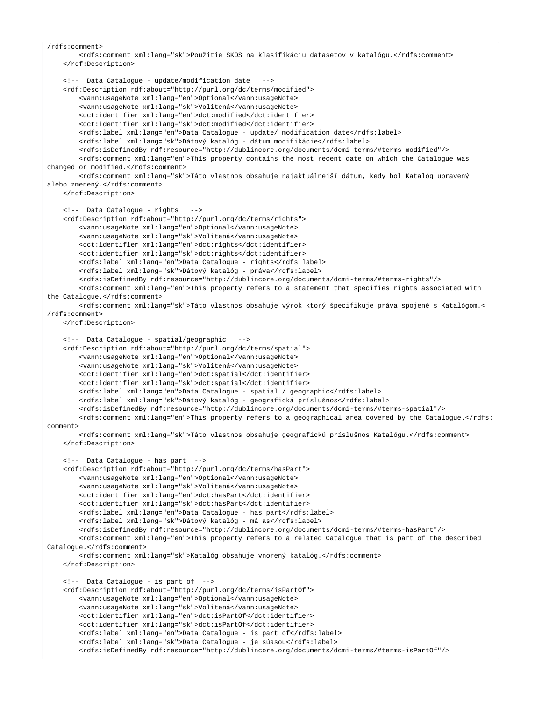```
/rdfs:comment>
         <rdfs:comment xml:lang="sk">Použitie SKOS na klasifikáciu datasetov v katalógu.</rdfs:comment>
     </rdf:Description>
    <!-- Data Catalogue - update/modification date -->
    <rdf:Description rdf:about="http://purl.org/dc/terms/modified"> 
         <vann:usageNote xml:lang="en">Optional</vann:usageNote>
         <vann:usageNote xml:lang="sk">Volitená</vann:usageNote>
        <dct:identifier xml:lang="en">dct:modified</dct:identifier>
        <dct:identifier xml:lang="sk">dct:modified</dct:identifier>
        <rdfs:label xml:lang="en">Data Catalogue - update/ modification date</rdfs:label>
        <rdfs:label xml:lang="sk">Dátový katalóg - dátum modifikácie</rdfs:label>
         <rdfs:isDefinedBy rdf:resource="http://dublincore.org/documents/dcmi-terms/#terms-modified"/>
         <rdfs:comment xml:lang="en">This property contains the most recent date on which the Catalogue was 
changed or modified.</rdfs:comment>
        <rdfs:comment xml:lang="sk">Táto vlastnos obsahuje najaktuálnejší dátum, kedy bol Katalóg upravený 
alebo zmenený.</rdfs:comment>
    </rdf:Description>
    <!-- Data Catalogue - rights -->
     <rdf:Description rdf:about="http://purl.org/dc/terms/rights"> 
         <vann:usageNote xml:lang="en">Optional</vann:usageNote>
         <vann:usageNote xml:lang="sk">Volitená</vann:usageNote>
         <dct:identifier xml:lang="en">dct:rights</dct:identifier>
        <dct:identifier xml:lang="sk">dct:rights</dct:identifier>
        <rdfs:label xml:lang="en">Data Catalogue - rights</rdfs:label>
         <rdfs:label xml:lang="sk">Dátový katalóg - práva</rdfs:label>
         <rdfs:isDefinedBy rdf:resource="http://dublincore.org/documents/dcmi-terms/#terms-rights"/>
         <rdfs:comment xml:lang="en">This property refers to a statement that specifies rights associated with 
the Catalogue.</rdfs:comment>
        <rdfs:comment xml:lang="sk">Táto vlastnos obsahuje výrok ktorý špecifikuje práva spojené s Katalógom.<
/rdfs:comment>
    </rdf:Description>
    <!-- Data Catalogue - spatial/geographic -->
    <rdf:Description rdf:about="http://purl.org/dc/terms/spatial"> 
         <vann:usageNote xml:lang="en">Optional</vann:usageNote>
         <vann:usageNote xml:lang="sk">Volitená</vann:usageNote>
         <dct:identifier xml:lang="en">dct:spatial</dct:identifier>
         <dct:identifier xml:lang="sk">dct:spatial</dct:identifier>
         <rdfs:label xml:lang="en">Data Catalogue - spatial / geographic</rdfs:label>
        <rdfs:label xml:lang="sk">Dátový katalóg - geografická príslušnos</rdfs:label>
        <rdfs:isDefinedBy rdf:resource="http://dublincore.org/documents/dcmi-terms/#terms-spatial"/>
        <rdfs:comment xml:lang="en">This property refers to a geographical area covered by the Catalogue.</rdfs:
comment>
         <rdfs:comment xml:lang="sk">Táto vlastnos obsahuje geografickú príslušnos Katalógu.</rdfs:comment>
     </rdf:Description>
    <!-- Data Catalogue - has part -->
     <rdf:Description rdf:about="http://purl.org/dc/terms/hasPart"> 
        <vann:usageNote xml:lang="en">Optional</vann:usageNote>
         <vann:usageNote xml:lang="sk">Volitená</vann:usageNote>
         <dct:identifier xml:lang="en">dct:hasPart</dct:identifier>
         <dct:identifier xml:lang="sk">dct:hasPart</dct:identifier>
         <rdfs:label xml:lang="en">Data Catalogue - has part</rdfs:label>
         <rdfs:label xml:lang="sk">Dátový katalóg - má as</rdfs:label>
         <rdfs:isDefinedBy rdf:resource="http://dublincore.org/documents/dcmi-terms/#terms-hasPart"/>
         <rdfs:comment xml:lang="en">This property refers to a related Catalogue that is part of the described 
Catalogue.</rdfs:comment>
         <rdfs:comment xml:lang="sk">Katalóg obsahuje vnorený katalóg.</rdfs:comment>
    </rdf:Description> 
    <!-- Data Catalogue - is part of -->
    <rdf:Description rdf:about="http://purl.org/dc/terms/isPartOf"> 
         <vann:usageNote xml:lang="en">Optional</vann:usageNote>
         <vann:usageNote xml:lang="sk">Volitená</vann:usageNote>
         <dct:identifier xml:lang="en">dct:isPartOf</dct:identifier>
        <dct:identifier xml:lang="sk">dct:isPartOf</dct:identifier>
        <rdfs:label xml:lang="en">Data Catalogue - is part of</rdfs:label>
        <rdfs:label xml:lang="sk">Data Catalogue - je súasou</rdfs:label>
         <rdfs:isDefinedBy rdf:resource="http://dublincore.org/documents/dcmi-terms/#terms-isPartOf"/>
```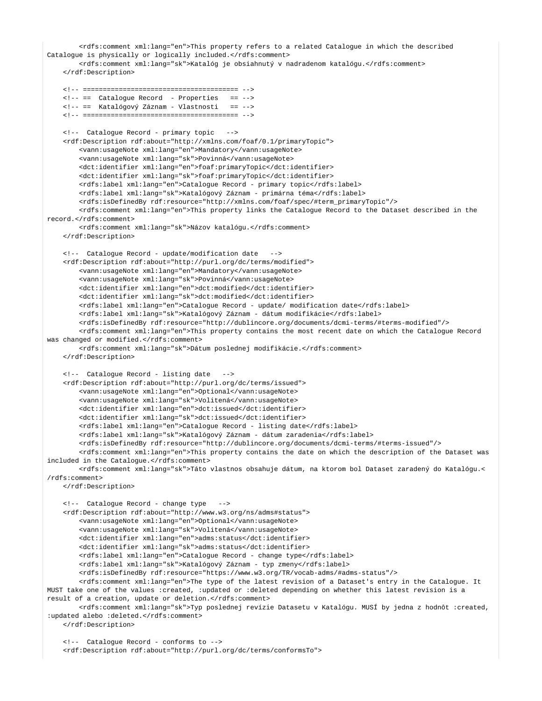```
 <rdfs:comment xml:lang="en">This property refers to a related Catalogue in which the described 
Catalogue is physically or logically included.</rdfs:comment>
        <rdfs:comment xml:lang="sk">Katalóg je obsiahnutý v nadradenom katalógu.</rdfs:comment>
    </rdf:Description>
    <!-- ======================================= -->
    <!-- == Catalogue Record - Properties == -->
    <!-- == Katalógový Záznam - Vlastnosti == -->
    <!-- ======================================= --> 
    <!-- Catalogue Record - primary topic -->
    <rdf:Description rdf:about="http://xmlns.com/foaf/0.1/primaryTopic"> 
         <vann:usageNote xml:lang="en">Mandatory</vann:usageNote>
         <vann:usageNote xml:lang="sk">Povinná</vann:usageNote>
         <dct:identifier xml:lang="en">foaf:primaryTopic</dct:identifier>
        <dct:identifier xml:lang="sk">foaf:primaryTopic</dct:identifier>
        <rdfs:label xml:lang="en">Catalogue Record - primary topic</rdfs:label>
        <rdfs:label xml:lang="sk">Katalógový Záznam - primárna téma</rdfs:label>
        <rdfs:isDefinedBy rdf:resource="http://xmlns.com/foaf/spec/#term_primaryTopic"/>
         <rdfs:comment xml:lang="en">This property links the Catalogue Record to the Dataset described in the 
record.</rdfs:comment>
        <rdfs:comment xml:lang="sk">Názov katalógu.</rdfs:comment>
    </rdf:Description>
    <!-- Catalogue Record - update/modification date -->
    <rdf:Description rdf:about="http://purl.org/dc/terms/modified"> 
         <vann:usageNote xml:lang="en">Mandatory</vann:usageNote>
         <vann:usageNote xml:lang="sk">Povinná</vann:usageNote>
         <dct:identifier xml:lang="en">dct:modified</dct:identifier>
        <dct:identifier xml:lang="sk">dct:modified</dct:identifier>
        <rdfs:label xml:lang="en">Catalogue Record - update/ modification date</rdfs:label>
         <rdfs:label xml:lang="sk">Katalógový Záznam - dátum modifikácie</rdfs:label>
         <rdfs:isDefinedBy rdf:resource="http://dublincore.org/documents/dcmi-terms/#terms-modified"/>
         <rdfs:comment xml:lang="en">This property contains the most recent date on which the Catalogue Record 
was changed or modified </rdfs:comment>
        <rdfs:comment xml:lang="sk">Dátum poslednej modifikácie.</rdfs:comment>
     </rdf:Description>
    <!-- Catalogue Record - listing date -->
     <rdf:Description rdf:about="http://purl.org/dc/terms/issued"> 
         <vann:usageNote xml:lang="en">Optional</vann:usageNote>
         <vann:usageNote xml:lang="sk">Volitená</vann:usageNote>
        <dct:identifier xml:lang="en">dct:issued</dct:identifier>
        <dct:identifier xml:lang="sk">dct:issued</dct:identifier>
         <rdfs:label xml:lang="en">Catalogue Record - listing date</rdfs:label>
         <rdfs:label xml:lang="sk">Katalógový Záznam - dátum zaradenia</rdfs:label>
         <rdfs:isDefinedBy rdf:resource="http://dublincore.org/documents/dcmi-terms/#terms-issued"/>
        <rdfs:comment xml:lang="en">This property contains the date on which the description of the Dataset was 
included in the Catalogue.</rdfs:comment>
        <rdfs:comment xml:lang="sk">Táto vlastnos obsahuje dátum, na ktorom bol Dataset zaradený do Katalógu.<
/rdfs:comment>
    </rdf:Description>
    <!-- Catalogue Record - change type -->
    <rdf:Description rdf:about="http://www.w3.org/ns/adms#status"> 
         <vann:usageNote xml:lang="en">Optional</vann:usageNote>
         <vann:usageNote xml:lang="sk">Volitená</vann:usageNote>
         <dct:identifier xml:lang="en">adms:status</dct:identifier>
        <dct:identifier xml:lang="sk">adms:status</dct:identifier>
         <rdfs:label xml:lang="en">Catalogue Record - change type</rdfs:label>
        <rdfs:label xml:lang="sk">Katalógový Záznam - typ zmeny</rdfs:label>
        <rdfs:isDefinedBy rdf:resource="https://www.w3.org/TR/vocab-adms/#adms-status"/>
        <rdfs:comment xml:lang="en">The type of the latest revision of a Dataset's entry in the Catalogue. It 
MUST take one of the values :created, :updated or :deleted depending on whether this latest revision is a 
result of a creation, update or deletion.</rdfs:comment>
         <rdfs:comment xml:lang="sk">Typ poslednej revízie Datasetu v Katalógu. MUSÍ by jedna z hodnôt :created, 
:updated alebo :deleted.</rdfs:comment>
    </rdf:Description>
    <!-- Catalogue Record - conforms to -->
```
<rdf:Description rdf:about="http://purl.org/dc/terms/conformsTo">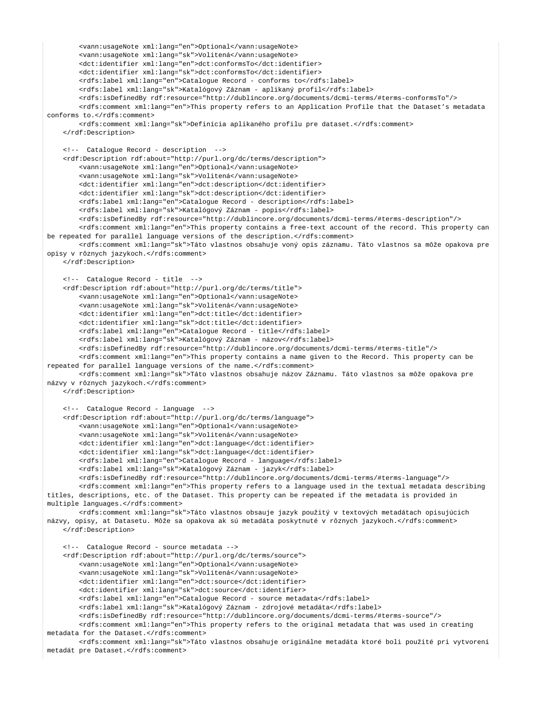```
 <vann:usageNote xml:lang="en">Optional</vann:usageNote>
         <vann:usageNote xml:lang="sk">Volitená</vann:usageNote>
         <dct:identifier xml:lang="en">dct:conformsTo</dct:identifier>
         <dct:identifier xml:lang="sk">dct:conformsTo</dct:identifier>
         <rdfs:label xml:lang="en">Catalogue Record - conforms to</rdfs:label>
         <rdfs:label xml:lang="sk">Katalógový Záznam - aplikaný profil</rdfs:label>
         <rdfs:isDefinedBy rdf:resource="http://dublincore.org/documents/dcmi-terms/#terms-conformsTo"/>
         <rdfs:comment xml:lang="en">This property refers to an Application Profile that the Dataset's metadata 
conforms to c/rdfs:comment>
         <rdfs:comment xml:lang="sk">Definícia aplikaného profilu pre dataset.</rdfs:comment>
     </rdf:Description> 
     <!-- Catalogue Record - description -->
     <rdf:Description rdf:about="http://purl.org/dc/terms/description">
         <vann:usageNote xml:lang="en">Optional</vann:usageNote>
         <vann:usageNote xml:lang="sk">Volitená</vann:usageNote>
         <dct:identifier xml:lang="en">dct:description</dct:identifier>
         <dct:identifier xml:lang="sk">dct:description</dct:identifier>
         <rdfs:label xml:lang="en">Catalogue Record - description</rdfs:label>
         <rdfs:label xml:lang="sk">Katalógový Záznam - popis</rdfs:label>
         <rdfs:isDefinedBy rdf:resource="http://dublincore.org/documents/dcmi-terms/#terms-description"/>
         <rdfs:comment xml:lang="en">This property contains a free-text account of the record. This property can 
be repeated for parallel language versions of the description.</rdfs:comment>
         <rdfs:comment xml:lang="sk">Táto vlastnos obsahuje voný opis záznamu. Táto vlastnos sa môže opakova pre 
opisy v rôznych jazykoch.</rdfs:comment>
    </rdf:Description> 
     <!-- Catalogue Record - title -->
     <rdf:Description rdf:about="http://purl.org/dc/terms/title">
         <vann:usageNote xml:lang="en">Optional</vann:usageNote>
         <vann:usageNote xml:lang="sk">Volitená</vann:usageNote>
         <dct:identifier xml:lang="en">dct:title</dct:identifier>
         <dct:identifier xml:lang="sk">dct:title</dct:identifier>
         <rdfs:label xml:lang="en">Catalogue Record - title</rdfs:label>
         <rdfs:label xml:lang="sk">Katalógový Záznam - názov</rdfs:label>
         <rdfs:isDefinedBy rdf:resource="http://dublincore.org/documents/dcmi-terms/#terms-title"/>
         <rdfs:comment xml:lang="en">This property contains a name given to the Record. This property can be 
repeated for parallel language versions of the name.</rdfs:comment>
         <rdfs:comment xml:lang="sk">Táto vlastnos obsahuje názov Záznamu. Táto vlastnos sa môže opakova pre 
názvy v rôznych jazykoch.</rdfs:comment>
     </rdf:Description>
     <!-- Catalogue Record - language -->
     <rdf:Description rdf:about="http://purl.org/dc/terms/language"> 
         <vann:usageNote xml:lang="en">Optional</vann:usageNote>
         <vann:usageNote xml:lang="sk">Volitená</vann:usageNote>
         <dct:identifier xml:lang="en">dct:language</dct:identifier>
         <dct:identifier xml:lang="sk">dct:language</dct:identifier>
         <rdfs:label xml:lang="en">Catalogue Record - language</rdfs:label>
         <rdfs:label xml:lang="sk">Katalógový Záznam - jazyk</rdfs:label>
         <rdfs:isDefinedBy rdf:resource="http://dublincore.org/documents/dcmi-terms/#terms-language"/>
         <rdfs:comment xml:lang="en">This property refers to a language used in the textual metadata describing 
titles, descriptions, etc. of the Dataset. This property can be repeated if the metadata is provided in 
multiple languages.</rdfs:comment>
         <rdfs:comment xml:lang="sk">Táto vlastnos obsauje jazyk použitý v textových metadátach opisujúcich 
názvy, opisy, at Datasetu. Môže sa opakova ak sú metadáta poskytnuté v rôznych jazykoch.</rdfs:comment>
     </rdf:Description>
     <!-- Catalogue Record - source metadata -->
     <rdf:Description rdf:about="http://purl.org/dc/terms/source"> 
         <vann:usageNote xml:lang="en">Optional</vann:usageNote>
         <vann:usageNote xml:lang="sk">Volitená</vann:usageNote>
         <dct:identifier xml:lang="en">dct:source</dct:identifier>
         <dct:identifier xml:lang="sk">dct:source</dct:identifier>
         <rdfs:label xml:lang="en">Catalogue Record - source metadata</rdfs:label>
         <rdfs:label xml:lang="sk">Katalógový Záznam - zdrojové metadáta</rdfs:label>
         <rdfs:isDefinedBy rdf:resource="http://dublincore.org/documents/dcmi-terms/#terms-source"/>
         <rdfs:comment xml:lang="en">This property refers to the original metadata that was used in creating 
metadata for the Dataset.</rdfs:comment>
         <rdfs:comment xml:lang="sk">Táto vlastnos obsahuje originálne metadáta ktoré boli použité pri vytvorení
```
metadát pre Dataset.</rdfs:comment>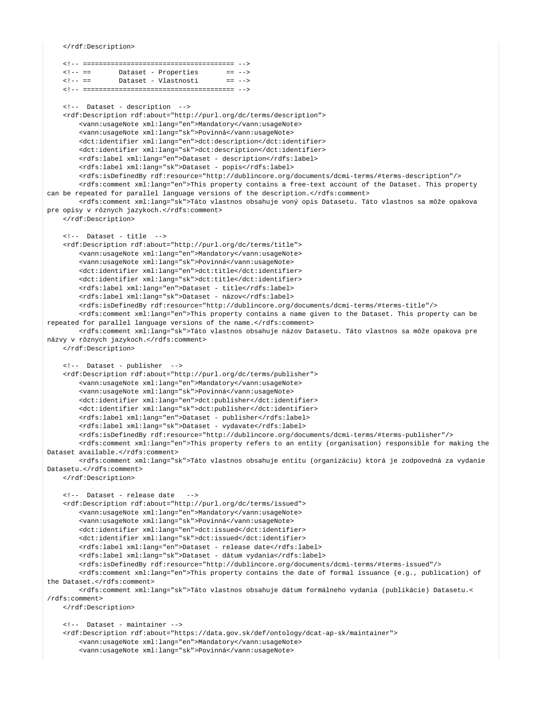```
</rdf:Description>
```

```
\leq 1 - - \equivDataset - Properties
                                          = 2 - 521 - - 2 =Dataset - Vlastnosti
                                           = 7 - 5<!-- Dataset - description -->
   <rdf:Description rdf:about="http://purl.org/dc/terms/description">
       <vann:usageNote xml:lang="en">Mandatory</vann:usageNote>
       <vann:usageNote xml:lang="sk">Povinná</vann:usageNote>
       <dct:identifier xml:lang="en">dct:description</dct:identifier>
       <dct:identifier xml:lang="sk">dct:description</dct:identifier>
        <rdfs:label xml:lang="en">Dataset - description</rdfs:label>
       <rdfs:label xml:lang="sk">Dataset - popis</rdfs:label>
       <rdfs:isDefinedBy rdf:resource="http://dublincore.org/documents/dcmi-terms/#terms-description"/>
       <rdfs:comment xml:lang="en">This property contains a free-text account of the Dataset. This property
can be repeated for parallel language versions of the description.</rdfs:comment>
       <rdfs:comment xml:lang="sk">Táto vlastnos obsahuje voný opis Datasetu. Táto vlastnos sa môže opakova
pre opisy v rôznych jazykoch.</rdfs:comment>
    </rdf:Description>
   \leftarrow :-- Dataset - title -->
   <rdf:Description rdf:about="http://purl.org/dc/terms/title">
       <vann:usageNote xml:lang="en">Mandatory</vann:usageNote>
        <vann:usageNote xml:lang="sk">Povinná</vann:usageNote>
        <dct:identifier xml:lang="en">dct:title</dct:identifier>
       <dct:identifier xml:lang="sk">dct:title</dct:identifier>
       <rdfs:label xml:lang="en">Dataset - title</rdfs:label>
       <rdfs:label xml:lang="sk">Dataset - názov</rdfs:label>
       <rdfs:isDefinedBy rdf:resource="http://dublincore.org/documents/dcmi-terms/#terms-title"/>
       <rdfs:comment xml:lang="en">This property contains a name given to the Dataset. This property can be
repeated for parallel language versions of the name.</rdfs:comment>
        <rdfs:comment xml:lang="sk">Táto vlastnos obsahuje názov Datasetu. Táto vlastnos sa môže opakova pre
názvy v rôznych jazykoch.</rdfs:comment>
   </rdf:Description>
   <!-- Dataset - publisher -->
    <rdf:Description rdf:about="http://purl.org/dc/terms/publisher">
        <vann:usageNote xml:lang="en">Mandatory</vann:usageNote>
        <vann:usageNote xml:lang="sk">Povinná</vann:usageNote>
       <dct:identifier xml:lang="en">dct:publisher</dct:identifier>
       <dct:identifier xml:lang="sk">dct:publisher</dct:identifier>
       <rdfs:label xml:lang="en">Dataset - publisher</rdfs:label>
       <rdfs:label xml:lang="sk">Dataset - vydavate</rdfs:label>
       <rdfs:isDefinedBy rdf:resource="http://dublincore.org/documents/dcmi-terms/#terms-publisher"/>
        <rdfs:comment xml:lang="en">This property refers to an entity (organisation) responsible for making the
Dataset available </rdfs:comment>
       <rdfs:comment xml:lang="sk">Táto vlastnos obsahuje entitu (organizáciu) ktorá je zodpovedná za vydanie
Datasetu.</rdfs:comment>
   </rdf:Description>
   <!-- Dataset - release date
                                 --&><rdf:Description rdf:about="http://purl.org/dc/terms/issued">
       <vann:usageNote xml:lang="en">Mandatory</vann:usageNote>
       <vann:usageNote xml:lang="sk">Povinná</vann:usageNote>
       <dct:identifier xml:lang="en">dct:issued</dct:identifier>
       <dct:identifier xml:lang="sk">dct:issued</dct:identifier>
       <rdfs:label xml:lang="en">Dataset - release date</rdfs:label>
        <rdfs:label xml:lang="sk">Dataset - dátum vydania</rdfs:label>
       <rdfs:isDefinedBy rdf:resource="http://dublincore.org/documents/dcmi-terms/#terms-issued"/>
       <rdfs:comment xml:lang="en">This property contains the date of formal issuance (e.g., publication) of
the Dataset.</rdfs:comment>
       <rdfs:comment xml:lang="sk">Táto vlastnos obsahuje dátum formálneho vydania (publikácie) Datasetu.<
/rdfs:comment>
   </rdf:Description>
   <!-- Dataset - maintainer -->
   <rdf:Description rdf:about="https://data.gov.sk/def/ontology/dcat-ap-sk/maintainer">
        <vann:usageNote xml:lang="en">Mandatory</vann:usageNote>
       <vann:usageNote xml:lang="sk">Povinná</vann:usageNote>
```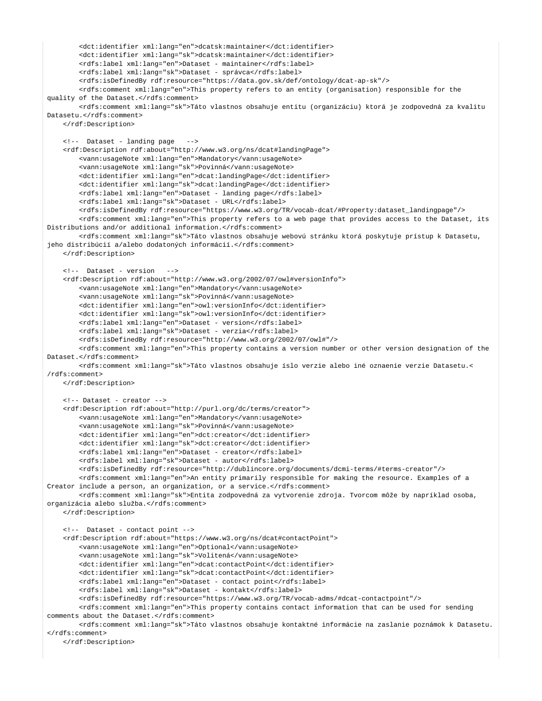```
 <dct:identifier xml:lang="en">dcatsk:maintainer</dct:identifier>
         <dct:identifier xml:lang="sk">dcatsk:maintainer</dct:identifier>
         <rdfs:label xml:lang="en">Dataset - maintainer</rdfs:label>
         <rdfs:label xml:lang="sk">Dataset - správca</rdfs:label>
         <rdfs:isDefinedBy rdf:resource="https://data.gov.sk/def/ontology/dcat-ap-sk"/>
         <rdfs:comment xml:lang="en">This property refers to an entity (organisation) responsible for the 
quality of the Dataset.</rdfs:comment>
         <rdfs:comment xml:lang="sk">Táto vlastnos obsahuje entitu (organizáciu) ktorá je zodpovedná za kvalitu 
Datasetu.</rdfs:comment>
    </rdf:Description>
    <!-- Dataset - landing page -->
    <rdf:Description rdf:about="http://www.w3.org/ns/dcat#landingPage"> 
         <vann:usageNote xml:lang="en">Mandatory</vann:usageNote>
         <vann:usageNote xml:lang="sk">Povinná</vann:usageNote>
         <dct:identifier xml:lang="en">dcat:landingPage</dct:identifier>
        <dct:identifier xml:lang="sk">dcat:landingPage</dct:identifier>
        <rdfs:label xml:lang="en">Dataset - landing page</rdfs:label>
         <rdfs:label xml:lang="sk">Dataset - URL</rdfs:label>
         <rdfs:isDefinedBy rdf:resource="https://www.w3.org/TR/vocab-dcat/#Property:dataset_landingpage"/>
         <rdfs:comment xml:lang="en">This property refers to a web page that provides access to the Dataset, its 
Distributions and/or additional information.</rdfs:comment>
        <rdfs:comment xml:lang="sk">Táto vlastnos obsahuje webovú stránku ktorá poskytuje prístup k Datasetu, 
jeho distribúcií a/alebo dodatoných informácií.</rdfs:comment>
    </rdf:Description>
    <!-- Dataset - version -->
     <rdf:Description rdf:about="http://www.w3.org/2002/07/owl#versionInfo"> 
         <vann:usageNote xml:lang="en">Mandatory</vann:usageNote>
         <vann:usageNote xml:lang="sk">Povinná</vann:usageNote>
        <dct:identifier xml:lang="en">owl:versionInfo</dct:identifier>
        <dct:identifier xml:lang="sk">owl:versionInfo</dct:identifier>
         <rdfs:label xml:lang="en">Dataset - version</rdfs:label>
         <rdfs:label xml:lang="sk">Dataset - verzia</rdfs:label>
        <rdfs:isDefinedBy rdf:resource="http://www.w3.org/2002/07/owl#"/>
        <rdfs:comment xml:lang="en">This property contains a version number or other version designation of the 
Dataset.</rdfs:comment>
        <rdfs:comment xml:lang="sk">Táto vlastnos obsahuje íslo verzie alebo iné oznaenie verzie Datasetu.<
/rdfs:comment>
    </rdf:Description>
    <!-- Dataset - creator -->
     <rdf:Description rdf:about="http://purl.org/dc/terms/creator">
         <vann:usageNote xml:lang="en">Mandatory</vann:usageNote>
         <vann:usageNote xml:lang="sk">Povinná</vann:usageNote>
         <dct:identifier xml:lang="en">dct:creator</dct:identifier>
         <dct:identifier xml:lang="sk">dct:creator</dct:identifier>
        <rdfs:label xml:lang="en">Dataset - creator</rdfs:label>
        <rdfs:label xml:lang="sk">Dataset - autor</rdfs:label>
        <rdfs:isDefinedBy rdf:resource="http://dublincore.org/documents/dcmi-terms/#terms-creator"/>
        <rdfs:comment xml:lang="en">An entity primarily responsible for making the resource. Examples of a 
Creator include a person, an organization, or a service.</rdfs:comment>
         <rdfs:comment xml:lang="sk">Entita zodpovedná za vytvorenie zdroja. Tvorcom môže by napríklad osoba, 
organizácia alebo služba.</rdfs:comment>
    </rdf:Description>
    <!-- Dataset - contact point -->
    <rdf:Description rdf:about="https://www.w3.org/ns/dcat#contactPoint"> 
         <vann:usageNote xml:lang="en">Optional</vann:usageNote>
         <vann:usageNote xml:lang="sk">Volitená</vann:usageNote>
        <dct:identifier xml:lang="en">dcat:contactPoint</dct:identifier>
        <dct:identifier xml:lang="sk">dcat:contactPoint</dct:identifier>
        <rdfs:label xml:lang="en">Dataset - contact point</rdfs:label>
        <rdfs:label xml:lang="sk">Dataset - kontakt</rdfs:label>
        <rdfs:isDefinedBy rdf:resource="https://www.w3.org/TR/vocab-adms/#dcat-contactpoint"/>
         <rdfs:comment xml:lang="en">This property contains contact information that can be used for sending 
comments about the Dataset.</rdfs:comment>
        <rdfs:comment xml:lang="sk">Táto vlastnos obsahuje kontaktné informácie na zaslanie poznámok k Datasetu.
</rdfs:comment>
    </rdf:Description>
```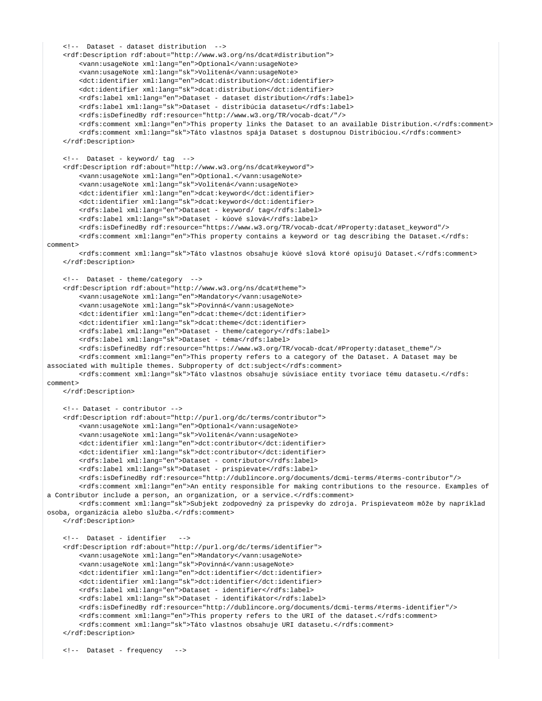```
 <!-- Dataset - dataset distribution -->
     <rdf:Description rdf:about="http://www.w3.org/ns/dcat#distribution"> 
         <vann:usageNote xml:lang="en">Optional</vann:usageNote>
         <vann:usageNote xml:lang="sk">Volitená</vann:usageNote>
        <dct:identifier xml:lang="en">dcat:distribution</dct:identifier>
        <dct:identifier xml:lang="sk">dcat:distribution</dct:identifier>
        <rdfs:label xml:lang="en">Dataset - dataset distribution</rdfs:label>
         <rdfs:label xml:lang="sk">Dataset - distribúcia datasetu</rdfs:label>
         <rdfs:isDefinedBy rdf:resource="http://www.w3.org/TR/vocab-dcat/"/>
         <rdfs:comment xml:lang="en">This property links the Dataset to an available Distribution.</rdfs:comment>
         <rdfs:comment xml:lang="sk">Táto vlastnos spája Dataset s dostupnou Distribúciou.</rdfs:comment>
     </rdf:Description>
     <!-- Dataset - keyword/ tag -->
     <rdf:Description rdf:about="http://www.w3.org/ns/dcat#keyword"> 
         <vann:usageNote xml:lang="en">Optional.</vann:usageNote>
         <vann:usageNote xml:lang="sk">Volitená</vann:usageNote>
         <dct:identifier xml:lang="en">dcat:keyword</dct:identifier>
        <dct:identifier xml:lang="sk">dcat:keyword</dct:identifier>
        <rdfs:label xml:lang="en">Dataset - keyword/ tag</rdfs:label>
         <rdfs:label xml:lang="sk">Dataset - kúové slová</rdfs:label>
         <rdfs:isDefinedBy rdf:resource="https://www.w3.org/TR/vocab-dcat/#Property:dataset_keyword"/>
        <rdfs:comment xml:lang="en">This property contains a keyword or tag describing the Dataset.</rdfs:
comment>
         <rdfs:comment xml:lang="sk">Táto vlastnos obsahuje kúové slová ktoré opisujú Dataset.</rdfs:comment>
    </rdf:Description>
    <!-- Dataset - theme/category -->
    <rdf:Description rdf:about="http://www.w3.org/ns/dcat#theme"> 
         <vann:usageNote xml:lang="en">Mandatory</vann:usageNote>
         <vann:usageNote xml:lang="sk">Povinná</vann:usageNote>
         <dct:identifier xml:lang="en">dcat:theme</dct:identifier>
         <dct:identifier xml:lang="sk">dcat:theme</dct:identifier>
         <rdfs:label xml:lang="en">Dataset - theme/category</rdfs:label>
        <rdfs:label xml:lang="sk">Dataset - téma</rdfs:label>
        <rdfs:isDefinedBy rdf:resource="https://www.w3.org/TR/vocab-dcat/#Property:dataset_theme"/>
        <rdfs:comment xml:lang="en">This property refers to a category of the Dataset. A Dataset may be 
associated with multiple themes. Subproperty of dct:subject</rdfs:comment>
         <rdfs:comment xml:lang="sk">Táto vlastnos obsahuje súvisiace entity tvoriace tému datasetu.</rdfs:
comment>
    </rdf:Description>
    <!-- Dataset - contributor -->
    <rdf:Description rdf:about="http://purl.org/dc/terms/contributor">
         <vann:usageNote xml:lang="en">Optional</vann:usageNote>
         <vann:usageNote xml:lang="sk">Volitená</vann:usageNote>
         <dct:identifier xml:lang="en">dct:contributor</dct:identifier>
        <dct:identifier xml:lang="sk">dct:contributor</dct:identifier>
        <rdfs:label xml:lang="en">Dataset - contributor</rdfs:label>
        <rdfs:label xml:lang="sk">Dataset - prispievate</rdfs:label>
        <rdfs:isDefinedBy rdf:resource="http://dublincore.org/documents/dcmi-terms/#terms-contributor"/>
        <rdfs:comment xml:lang="en">An entity responsible for making contributions to the resource. Examples of 
a Contributor include a person, an organization, or a service.</rdfs:comment>
        <rdfs:comment xml:lang="sk">Subjekt zodpovedný za príspevky do zdroja. Prispievateom môže by napríklad 
osoba, organizácia alebo služba.</rdfs:comment>
    </rdf:Description>
    <!-- Dataset - identifier -->
     <rdf:Description rdf:about="http://purl.org/dc/terms/identifier"> 
         <vann:usageNote xml:lang="en">Mandatory</vann:usageNote>
         <vann:usageNote xml:lang="sk">Povinná</vann:usageNote>
        <dct:identifier xml:lang="en">dct:identifier</dct:identifier>
        <dct:identifier xml:lang="sk">dct:identifier</dct:identifier>
        <rdfs:label xml:lang="en">Dataset - identifier</rdfs:label>
         <rdfs:label xml:lang="sk">Dataset - identifikátor</rdfs:label>
         <rdfs:isDefinedBy rdf:resource="http://dublincore.org/documents/dcmi-terms/#terms-identifier"/>
         <rdfs:comment xml:lang="en">This property refers to the URI of the dataset.</rdfs:comment>
         <rdfs:comment xml:lang="sk">Táto vlastnos obsahuje URI datasetu.</rdfs:comment>
     </rdf:Description>
     <!-- Dataset - frequency -->
```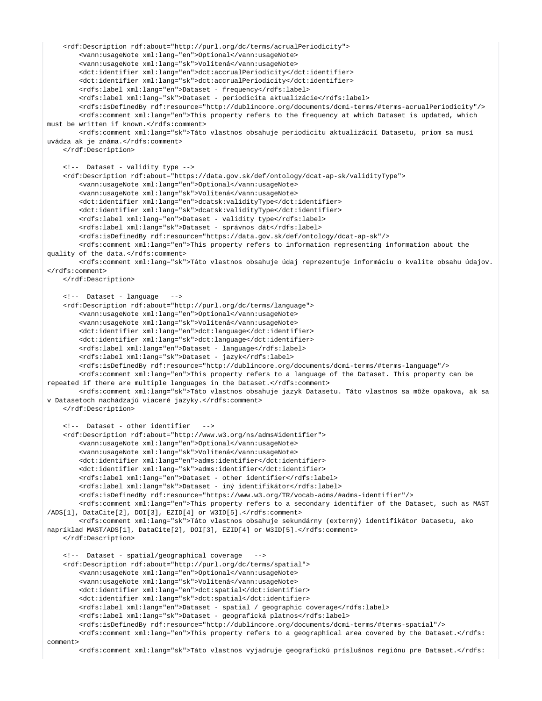```
 <rdf:Description rdf:about="http://purl.org/dc/terms/acrualPeriodicity"> 
         <vann:usageNote xml:lang="en">Optional</vann:usageNote>
         <vann:usageNote xml:lang="sk">Volitená</vann:usageNote>
         <dct:identifier xml:lang="en">dct:accrualPeriodicity</dct:identifier>
         <dct:identifier xml:lang="sk">dct:accrualPeriodicity</dct:identifier>
         <rdfs:label xml:lang="en">Dataset - frequency</rdfs:label>
         <rdfs:label xml:lang="sk">Dataset - periodicita aktualizácie</rdfs:label>
         <rdfs:isDefinedBy rdf:resource="http://dublincore.org/documents/dcmi-terms/#terms-acrualPeriodicity"/>
         <rdfs:comment xml:lang="en">This property refers to the frequency at which Dataset is updated, which 
must be written if known.</rdfs:comment>
         <rdfs:comment xml:lang="sk">Táto vlastnos obsahuje periodicitu aktualizácií Datasetu, priom sa musí 
uvádza ak je známa.</rdfs:comment>
    </rdf:Description>
     <!-- Dataset - validity type -->
     <rdf:Description rdf:about="https://data.gov.sk/def/ontology/dcat-ap-sk/validityType">
         <vann:usageNote xml:lang="en">Optional</vann:usageNote>
         <vann:usageNote xml:lang="sk">Volitená</vann:usageNote>
         <dct:identifier xml:lang="en">dcatsk:validityType</dct:identifier>
         <dct:identifier xml:lang="sk">dcatsk:validityType</dct:identifier>
         <rdfs:label xml:lang="en">Dataset - validity type</rdfs:label>
         <rdfs:label xml:lang="sk">Dataset - správnos dát</rdfs:label>
         <rdfs:isDefinedBy rdf:resource="https://data.gov.sk/def/ontology/dcat-ap-sk"/>
         <rdfs:comment xml:lang="en">This property refers to information representing information about the 
quality of the data.</rdfs:comment>
         <rdfs:comment xml:lang="sk">Táto vlastnos obsahuje údaj reprezentuje informáciu o kvalite obsahu údajov.
</rdfs:comment>
     </rdf:Description>
     <!-- Dataset - language -->
     <rdf:Description rdf:about="http://purl.org/dc/terms/language"> 
         <vann:usageNote xml:lang="en">Optional</vann:usageNote>
         <vann:usageNote xml:lang="sk">Volitená</vann:usageNote>
         <dct:identifier xml:lang="en">dct:language</dct:identifier>
         <dct:identifier xml:lang="sk">dct:language</dct:identifier>
         <rdfs:label xml:lang="en">Dataset - language</rdfs:label>
         <rdfs:label xml:lang="sk">Dataset - jazyk</rdfs:label>
         <rdfs:isDefinedBy rdf:resource="http://dublincore.org/documents/dcmi-terms/#terms-language"/>
         <rdfs:comment xml:lang="en">This property refers to a language of the Dataset. This property can be 
repeated if there are multiple languages in the Dataset.</rdfs:comment>
         <rdfs:comment xml:lang="sk">Táto vlastnos obsahuje jazyk Datasetu. Táto vlastnos sa môže opakova, ak sa 
v Datasetoch nachádzajú viaceré jazyky.</rdfs:comment>
     </rdf:Description>
     <!-- Dataset - other identifier -->
     <rdf:Description rdf:about="http://www.w3.org/ns/adms#identifier"> 
         <vann:usageNote xml:lang="en">Optional</vann:usageNote>
         <vann:usageNote xml:lang="sk">Volitená</vann:usageNote>
         <dct:identifier xml:lang="en">adms:identifier</dct:identifier>
         <dct:identifier xml:lang="sk">adms:identifier</dct:identifier>
         <rdfs:label xml:lang="en">Dataset - other identifier</rdfs:label>
         <rdfs:label xml:lang="sk">Dataset - iný identifikátor</rdfs:label>
         <rdfs:isDefinedBy rdf:resource="https://www.w3.org/TR/vocab-adms/#adms-identifier"/>
         <rdfs:comment xml:lang="en">This property refers to a secondary identifier of the Dataset, such as MAST
/ADS[1], DataCite[2], DOI[3], EZID[4] or W3ID[5].</rdfs:comment>
         <rdfs:comment xml:lang="sk">Táto vlastnos obsahuje sekundárny (externý) identifikátor Datasetu, ako 
napríklad MAST/ADS[1], DataCite[2], DOI[3], EZID[4] or W3ID[5].</rdfs:comment>
    </rdf:Description>
    <!-- Dataset - spatial/geographical coverage
     <rdf:Description rdf:about="http://purl.org/dc/terms/spatial"> 
         <vann:usageNote xml:lang="en">Optional</vann:usageNote>
         <vann:usageNote xml:lang="sk">Volitená</vann:usageNote>
         <dct:identifier xml:lang="en">dct:spatial</dct:identifier>
         <dct:identifier xml:lang="sk">dct:spatial</dct:identifier>
         <rdfs:label xml:lang="en">Dataset - spatial / geographic coverage</rdfs:label>
         <rdfs:label xml:lang="sk">Dataset - geografická platnos</rdfs:label>
         <rdfs:isDefinedBy rdf:resource="http://dublincore.org/documents/dcmi-terms/#terms-spatial"/>
         <rdfs:comment xml:lang="en">This property refers to a geographical area covered by the Dataset.</rdfs:
comment>
```
<rdfs:comment xml:lang="sk">Táto vlastnos vyjadruje geografickú príslušnos regiónu pre Dataset.</rdfs: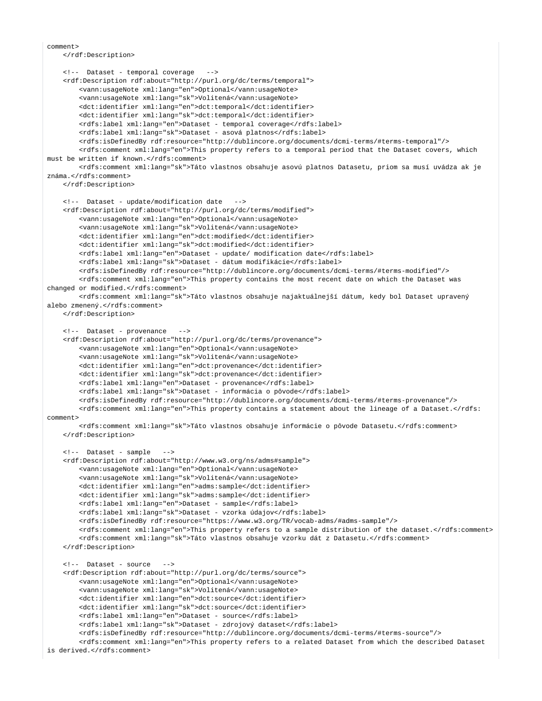```
comment>
    </rdf:Description>
    <!-- Dataset - temporal coverage -->
    <rdf:Description rdf:about="http://purl.org/dc/terms/temporal"> 
         <vann:usageNote xml:lang="en">Optional</vann:usageNote>
         <vann:usageNote xml:lang="sk">Volitená</vann:usageNote>
         <dct:identifier xml:lang="en">dct:temporal</dct:identifier>
        <dct:identifier xml:lang="sk">dct:temporal</dct:identifier>
        <rdfs:label xml:lang="en">Dataset - temporal coverage</rdfs:label>
        <rdfs:label xml:lang="sk">Dataset - asová platnos</rdfs:label>
        <rdfs:isDefinedBy rdf:resource="http://dublincore.org/documents/dcmi-terms/#terms-temporal"/>
        <rdfs:comment xml:lang="en">This property refers to a temporal period that the Dataset covers, which 
must be written if known.</rdfs:comment>
        <rdfs:comment xml:lang="sk">Táto vlastnos obsahuje asovú platnos Datasetu, priom sa musí uvádza ak je 
známa.</rdfs:comment>
    </rdf:Description>
    <!-- Dataset - update/modification date -->
     <rdf:Description rdf:about="http://purl.org/dc/terms/modified"> 
         <vann:usageNote xml:lang="en">Optional</vann:usageNote>
         <vann:usageNote xml:lang="sk">Volitená</vann:usageNote>
        <dct:identifier xml:lang="en">dct:modified</dct:identifier>
        <dct:identifier xml:lang="sk">dct:modified</dct:identifier>
        <rdfs:label xml:lang="en">Dataset - update/ modification date</rdfs:label>
         <rdfs:label xml:lang="sk">Dataset - dátum modifikácie</rdfs:label>
         <rdfs:isDefinedBy rdf:resource="http://dublincore.org/documents/dcmi-terms/#terms-modified"/>
         <rdfs:comment xml:lang="en">This property contains the most recent date on which the Dataset was 
changed or modified.</rdfs:comment>
        <rdfs:comment xml:lang="sk">Táto vlastnos obsahuje najaktuálnejší dátum, kedy bol Dataset upravený 
alebo zmenený.</rdfs:comment>
    </rdf:Description>
    <!-- Dataset - provenance -->
    <rdf:Description rdf:about="http://purl.org/dc/terms/provenance"> 
         <vann:usageNote xml:lang="en">Optional</vann:usageNote>
         <vann:usageNote xml:lang="sk">Volitená</vann:usageNote>
        <dct:identifier xml:lang="en">dct:provenance</dct:identifier>
         <dct:identifier xml:lang="sk">dct:provenance</dct:identifier>
         <rdfs:label xml:lang="en">Dataset - provenance</rdfs:label>
         <rdfs:label xml:lang="sk">Dataset - informácia o pôvode</rdfs:label>
         <rdfs:isDefinedBy rdf:resource="http://dublincore.org/documents/dcmi-terms/#terms-provenance"/>
         <rdfs:comment xml:lang="en">This property contains a statement about the lineage of a Dataset.</rdfs:
comment>
         <rdfs:comment xml:lang="sk">Táto vlastnos obsahuje informácie o pôvode Datasetu.</rdfs:comment>
    </rdf:Description> 
    <!-- Dataset - sample -->
     <rdf:Description rdf:about="http://www.w3.org/ns/adms#sample"> 
         <vann:usageNote xml:lang="en">Optional</vann:usageNote>
         <vann:usageNote xml:lang="sk">Volitená</vann:usageNote>
         <dct:identifier xml:lang="en">adms:sample</dct:identifier>
         <dct:identifier xml:lang="sk">adms:sample</dct:identifier>
         <rdfs:label xml:lang="en">Dataset - sample</rdfs:label>
        <rdfs:label xml:lang="sk">Dataset - vzorka údajov</rdfs:label>
        <rdfs:isDefinedBy rdf:resource="https://www.w3.org/TR/vocab-adms/#adms-sample"/>
        <rdfs:comment xml:lang="en">This property refers to a sample distribution of the dataset.</rdfs:comment>
         <rdfs:comment xml:lang="sk">Táto vlastnos obsahuje vzorku dát z Datasetu.</rdfs:comment>
     </rdf:Description>
    <!-- Dataset - source -->
     <rdf:Description rdf:about="http://purl.org/dc/terms/source"> 
         <vann:usageNote xml:lang="en">Optional</vann:usageNote>
         <vann:usageNote xml:lang="sk">Volitená</vann:usageNote>
         <dct:identifier xml:lang="en">dct:source</dct:identifier>
         <dct:identifier xml:lang="sk">dct:source</dct:identifier>
         <rdfs:label xml:lang="en">Dataset - source</rdfs:label>
         <rdfs:label xml:lang="sk">Dataset - zdrojový dataset</rdfs:label>
         <rdfs:isDefinedBy rdf:resource="http://dublincore.org/documents/dcmi-terms/#terms-source"/>
         <rdfs:comment xml:lang="en">This property refers to a related Dataset from which the described Dataset 
is derived.</rdfs:comment>
```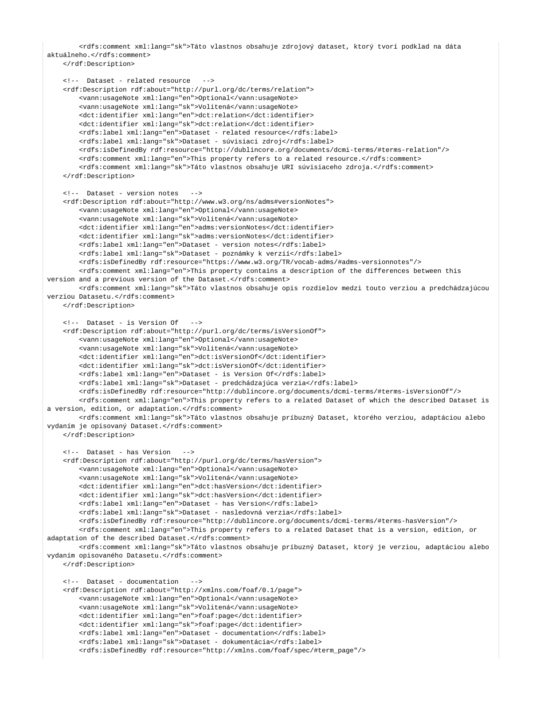<rdfs:comment xml:lang="sk">Táto vlastnos obsahuje zdrojový dataset, ktorý tvorí podklad na dáta aktuálneho.</rdfs:comment>

```
 </rdf:Description>
    <!-- Dataset - related resource -->
    <rdf:Description rdf:about="http://purl.org/dc/terms/relation"> 
         <vann:usageNote xml:lang="en">Optional</vann:usageNote>
         <vann:usageNote xml:lang="sk">Volitená</vann:usageNote>
        <dct:identifier xml:lang="en">dct:relation</dct:identifier>
        <dct:identifier xml:lang="sk">dct:relation</dct:identifier>
        <rdfs:label xml:lang="en">Dataset - related resource</rdfs:label>
        <rdfs:label xml:lang="sk">Dataset - súvisiaci zdroj</rdfs:label>
         <rdfs:isDefinedBy rdf:resource="http://dublincore.org/documents/dcmi-terms/#terms-relation"/>
         <rdfs:comment xml:lang="en">This property refers to a related resource.</rdfs:comment>
         <rdfs:comment xml:lang="sk">Táto vlastnos obsahuje URI súvisiaceho zdroja.</rdfs:comment>
     </rdf:Description> 
    <!-- Dataset - version notes -->
     <rdf:Description rdf:about="http://www.w3.org/ns/adms#versionNotes"> 
         <vann:usageNote xml:lang="en">Optional</vann:usageNote>
         <vann:usageNote xml:lang="sk">Volitená</vann:usageNote>
        <dct:identifier xml:lang="en">adms:versionNotes</dct:identifier>
        <dct:identifier xml:lang="sk">adms:versionNotes</dct:identifier>
        <rdfs:label xml:lang="en">Dataset - version notes</rdfs:label>
        <rdfs:label xml:lang="sk">Dataset - poznámky k verzií</rdfs:label>
         <rdfs:isDefinedBy rdf:resource="https://www.w3.org/TR/vocab-adms/#adms-versionnotes"/>
         <rdfs:comment xml:lang="en">This property contains a description of the differences between this 
version and a previous version of the Dataset.</rdfs:comment>
        <rdfs:comment xml:lang="sk">Táto vlastnos obsahuje opis rozdielov medzi touto verziou a predchádzajúcou 
verziou Datasetu.</rdfs:comment>
    </rdf:Description>
    <!-- Dataset - is Version Of -->
     <rdf:Description rdf:about="http://purl.org/dc/terms/isVersionOf"> 
         <vann:usageNote xml:lang="en">Optional</vann:usageNote>
         <vann:usageNote xml:lang="sk">Volitená</vann:usageNote>
         <dct:identifier xml:lang="en">dct:isVersionOf</dct:identifier>
        <dct:identifier xml:lang="sk">dct:isVersionOf</dct:identifier>
         <rdfs:label xml:lang="en">Dataset - is Version Of</rdfs:label>
         <rdfs:label xml:lang="sk">Dataset - predchádzajúca verzia</rdfs:label>
         <rdfs:isDefinedBy rdf:resource="http://dublincore.org/documents/dcmi-terms/#terms-isVersionOf"/>
        <rdfs:comment xml:lang="en">This property refers to a related Dataset of which the described Dataset is 
a version, edition, or adaptation.</rdfs:comment>
        <rdfs:comment xml:lang="sk">Táto vlastnos obsahuje príbuzný Dataset, ktorého verziou, adaptáciou alebo 
vydaním je opisovaný Dataset.</rdfs:comment>
    </rdf:Description> 
    <!-- Dataset - has Version -->
    <rdf:Description rdf:about="http://purl.org/dc/terms/hasVersion"> 
         <vann:usageNote xml:lang="en">Optional</vann:usageNote>
         <vann:usageNote xml:lang="sk">Volitená</vann:usageNote>
         <dct:identifier xml:lang="en">dct:hasVersion</dct:identifier>
         <dct:identifier xml:lang="sk">dct:hasVersion</dct:identifier>
         <rdfs:label xml:lang="en">Dataset - has Version</rdfs:label>
        <rdfs:label xml:lang="sk">Dataset - nasledovná verzia</rdfs:label>
        <rdfs:isDefinedBy rdf:resource="http://dublincore.org/documents/dcmi-terms/#terms-hasVersion"/>
         <rdfs:comment xml:lang="en">This property refers to a related Dataset that is a version, edition, or 
adaptation of the described Dataset.</rdfs:comment>
         <rdfs:comment xml:lang="sk">Táto vlastnos obsahuje príbuzný Dataset, ktorý je verziou, adaptáciou alebo 
vydaním opisovaného Datasetu.</rdfs:comment>
    </rdf:Description> 
    <!-- Dataset - documentation -->
    <rdf:Description rdf:about="http://xmlns.com/foaf/0.1/page"> 
         <vann:usageNote xml:lang="en">Optional</vann:usageNote>
         <vann:usageNote xml:lang="sk">Volitená</vann:usageNote>
         <dct:identifier xml:lang="en">foaf:page</dct:identifier>
        <dct:identifier xml:lang="sk">foaf:page</dct:identifier>
        <rdfs:label xml:lang="en">Dataset - documentation</rdfs:label>
        <rdfs:label xml:lang="sk">Dataset - dokumentácia</rdfs:label>
```
<rdfs:isDefinedBy rdf:resource="http://xmlns.com/foaf/spec/#term\_page"/>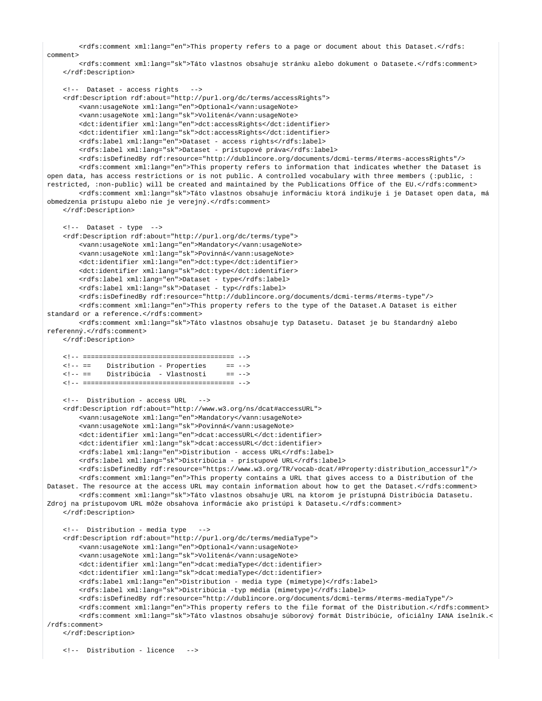<rdfs:comment xml:lang="en">This property refers to a page or document about this Dataset.</rdfs: comment>

 <rdfs:comment xml:lang="sk">Táto vlastnos obsahuje stránku alebo dokument o Datasete.</rdfs:comment> </rdf:Description>

```
 <!-- Dataset - access rights -->
    <rdf:Description rdf:about="http://purl.org/dc/terms/accessRights"> 
         <vann:usageNote xml:lang="en">Optional</vann:usageNote>
        <vann:usageNote xml:lang="sk">Volitená</vann:usageNote>
        <dct:identifier xml:lang="en">dct:accessRights</dct:identifier>
        <dct:identifier xml:lang="sk">dct:accessRights</dct:identifier>
        <rdfs:label xml:lang="en">Dataset - access rights</rdfs:label>
        <rdfs:label xml:lang="sk">Dataset - prístupové práva</rdfs:label>
         <rdfs:isDefinedBy rdf:resource="http://dublincore.org/documents/dcmi-terms/#terms-accessRights"/>
        <rdfs:comment xml:lang="en">This property refers to information that indicates whether the Dataset is 
open data, has access restrictions or is not public. A controlled vocabulary with three members (:public, :
restricted, :non-public) will be created and maintained by the Publications Office of the EU.</rdfs:comment>
         <rdfs:comment xml:lang="sk">Táto vlastnos obsahuje informáciu ktorá indikuje i je Dataset open data, má 
obmedzenia prístupu alebo nie je verejný.</rdfs:comment>
    </rdf:Description>
    <!-- Dataset - type -->
    <rdf:Description rdf:about="http://purl.org/dc/terms/type"> 
        <vann:usageNote xml:lang="en">Mandatory</vann:usageNote>
        <vann:usageNote xml:lang="sk">Povinná</vann:usageNote>
         <dct:identifier xml:lang="en">dct:type</dct:identifier>
         <dct:identifier xml:lang="sk">dct:type</dct:identifier>
        <rdfs:label xml:lang="en">Dataset - type</rdfs:label>
        <rdfs:label xml:lang="sk">Dataset - typ</rdfs:label>
        <rdfs:isDefinedBy rdf:resource="http://dublincore.org/documents/dcmi-terms/#terms-type"/>
        <rdfs:comment xml:lang="en">This property refers to the type of the Dataset.A Dataset is either 
standard or a reference.</rdfs:comment>
        <rdfs:comment xml:lang="sk">Táto vlastnos obsahuje typ Datasetu. Dataset je bu štandardný alebo 
referenný.</rdfs:comment>
    </rdf:Description> 
    <!-- ====================================== -->
    <!-- == Distribution - Properties == -->
    <!-- == Distribúcia - Vlastnosti == -->
     <!-- ====================================== --> 
    <!-- Distribution - access URL -->
    <rdf:Description rdf:about="http://www.w3.org/ns/dcat#accessURL"> 
         <vann:usageNote xml:lang="en">Mandatory</vann:usageNote>
         <vann:usageNote xml:lang="sk">Povinná</vann:usageNote>
        <dct:identifier xml:lang="en">dcat:accessURL</dct:identifier>
         <dct:identifier xml:lang="sk">dcat:accessURL</dct:identifier>
        <rdfs:label xml:lang="en">Distribution - access URL</rdfs:label>
        <rdfs:label xml:lang="sk">Distribúcia - prístupové URL</rdfs:label>
        <rdfs:isDefinedBy rdf:resource="https://www.w3.org/TR/vocab-dcat/#Property:distribution_accessurl"/>
        <rdfs:comment xml:lang="en">This property contains a URL that gives access to a Distribution of the 
Dataset. The resource at the access URL may contain information about how to get the Dataset.</rdfs:comment>
         <rdfs:comment xml:lang="sk">Táto vlastnos obsahuje URL na ktorom je prístupná Distribúcia Datasetu. 
Zdroj na prístupovom URL môže obsahova informácie ako pristúpi k Datasetu.</rdfs:comment>
    </rdf:Description>
    <!-- Distribution - media type -->
    <rdf:Description rdf:about="http://purl.org/dc/terms/mediaType"> 
        <vann:usageNote xml:lang="en">Optional</vann:usageNote>
         <vann:usageNote xml:lang="sk">Volitená</vann:usageNote>
        <dct:identifier xml:lang="en">dcat:mediaType</dct:identifier>
        <dct:identifier xml:lang="sk">dcat:mediaType</dct:identifier>
        <rdfs:label xml:lang="en">Distribution - media type (mimetype)</rdfs:label>
        <rdfs:label xml:lang="sk">Distribúcia -typ média (mimetype)</rdfs:label>
         <rdfs:isDefinedBy rdf:resource="http://dublincore.org/documents/dcmi-terms/#terms-mediaType"/>
         <rdfs:comment xml:lang="en">This property refers to the file format of the Distribution.</rdfs:comment>
        <rdfs:comment xml:lang="sk">Táto vlastnos obsahuje súborový formát Distribúcie, oficiálny IANA íselník.<
/rdfs:comment>
    </rdf:Description>
    <!-- Distribution - licence -->
```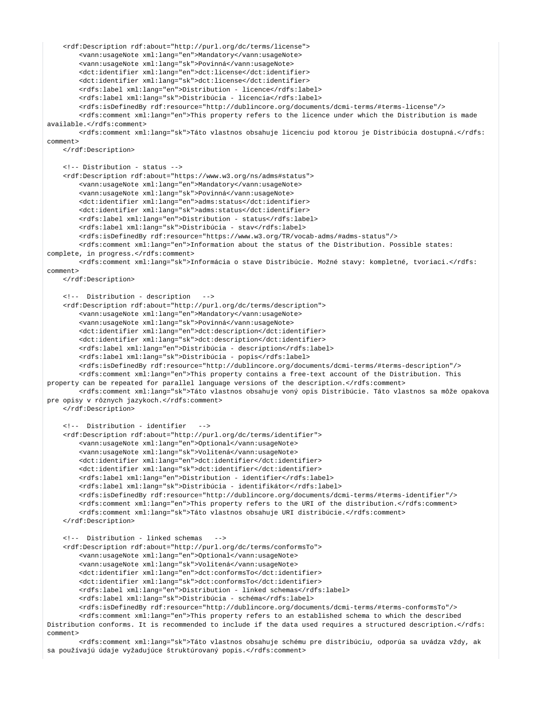```
 <rdf:Description rdf:about="http://purl.org/dc/terms/license"> 
         <vann:usageNote xml:lang="en">Mandatory</vann:usageNote>
         <vann:usageNote xml:lang="sk">Povinná</vann:usageNote>
         <dct:identifier xml:lang="en">dct:license</dct:identifier>
         <dct:identifier xml:lang="sk">dct:license</dct:identifier>
        <rdfs:label xml:lang="en">Distribution - licence</rdfs:label>
         <rdfs:label xml:lang="sk">Distribúcia - licencia</rdfs:label>
         <rdfs:isDefinedBy rdf:resource="http://dublincore.org/documents/dcmi-terms/#terms-license"/>
         <rdfs:comment xml:lang="en">This property refers to the licence under which the Distribution is made 
available.</rdfs:comment>
         <rdfs:comment xml:lang="sk">Táto vlastnos obsahuje licenciu pod ktorou je Distribúcia dostupná.</rdfs:
comment>
     </rdf:Description>
     <!-- Distribution - status -->
     <rdf:Description rdf:about="https://www.w3.org/ns/adms#status">
         <vann:usageNote xml:lang="en">Mandatory</vann:usageNote>
         <vann:usageNote xml:lang="sk">Povinná</vann:usageNote>
         <dct:identifier xml:lang="en">adms:status</dct:identifier>
         <dct:identifier xml:lang="sk">adms:status</dct:identifier>
         <rdfs:label xml:lang="en">Distribution - status</rdfs:label>
         <rdfs:label xml:lang="sk">Distribúcia - stav</rdfs:label>
         <rdfs:isDefinedBy rdf:resource="https://www.w3.org/TR/vocab-adms/#adms-status"/>
         <rdfs:comment xml:lang="en">Information about the status of the Distribution. Possible states: 
complete, in progress.</rdfs:comment>
         <rdfs:comment xml:lang="sk">Informácia o stave Distribúcie. Možné stavy: kompletné, tvoriaci.</rdfs:
comment>
     </rdf:Description>
     <!-- Distribution - description -->
     <rdf:Description rdf:about="http://purl.org/dc/terms/description">
         <vann:usageNote xml:lang="en">Mandatory</vann:usageNote>
         <vann:usageNote xml:lang="sk">Povinná</vann:usageNote>
         <dct:identifier xml:lang="en">dct:description</dct:identifier>
         <dct:identifier xml:lang="sk">dct:description</dct:identifier>
         <rdfs:label xml:lang="en">Distribúcia - description</rdfs:label>
         <rdfs:label xml:lang="sk">Distribúcia - popis</rdfs:label>
         <rdfs:isDefinedBy rdf:resource="http://dublincore.org/documents/dcmi-terms/#terms-description"/>
         <rdfs:comment xml:lang="en">This property contains a free-text account of the Distribution. This 
property can be repeated for parallel language versions of the description.</rdfs:comment>
         <rdfs:comment xml:lang="sk">Táto vlastnos obsahuje voný opis Distribúcie. Táto vlastnos sa môže opakova 
pre opisy v rôznych jazykoch.</rdfs:comment>
     </rdf:Description> 
     <!-- Distribution - identifier -->
     <rdf:Description rdf:about="http://purl.org/dc/terms/identifier"> 
         <vann:usageNote xml:lang="en">Optional</vann:usageNote>
         <vann:usageNote xml:lang="sk">Volitená</vann:usageNote>
         <dct:identifier xml:lang="en">dct:identifier</dct:identifier>
         <dct:identifier xml:lang="sk">dct:identifier</dct:identifier>
         <rdfs:label xml:lang="en">Distribution - identifier</rdfs:label>
         <rdfs:label xml:lang="sk">Distribúcia - identifikátor</rdfs:label>
         <rdfs:isDefinedBy rdf:resource="http://dublincore.org/documents/dcmi-terms/#terms-identifier"/>
         <rdfs:comment xml:lang="en">This property refers to the URI of the distribution.</rdfs:comment>
         <rdfs:comment xml:lang="sk">Táto vlastnos obsahuje URI distribúcie.</rdfs:comment>
     </rdf:Description>
     <!-- Distribution - linked schemas -->
     <rdf:Description rdf:about="http://purl.org/dc/terms/conformsTo"> 
         <vann:usageNote xml:lang="en">Optional</vann:usageNote>
         <vann:usageNote xml:lang="sk">Volitená</vann:usageNote>
         <dct:identifier xml:lang="en">dct:conformsTo</dct:identifier>
         <dct:identifier xml:lang="sk">dct:conformsTo</dct:identifier>
         <rdfs:label xml:lang="en">Distribution - linked schemas</rdfs:label>
         <rdfs:label xml:lang="sk">Distribúcia - schéma</rdfs:label>
         <rdfs:isDefinedBy rdf:resource="http://dublincore.org/documents/dcmi-terms/#terms-conformsTo"/>
         <rdfs:comment xml:lang="en">This property refers to an established schema to which the described 
Distribution conforms. It is recommended to include if the data used requires a structured description.</rdfs:
comment>
```
 <rdfs:comment xml:lang="sk">Táto vlastnos obsahuje schému pre distribúciu, odporúa sa uvádza vždy, ak sa používajú údaje vyžadujúce štruktúrovaný popis.</rdfs:comment>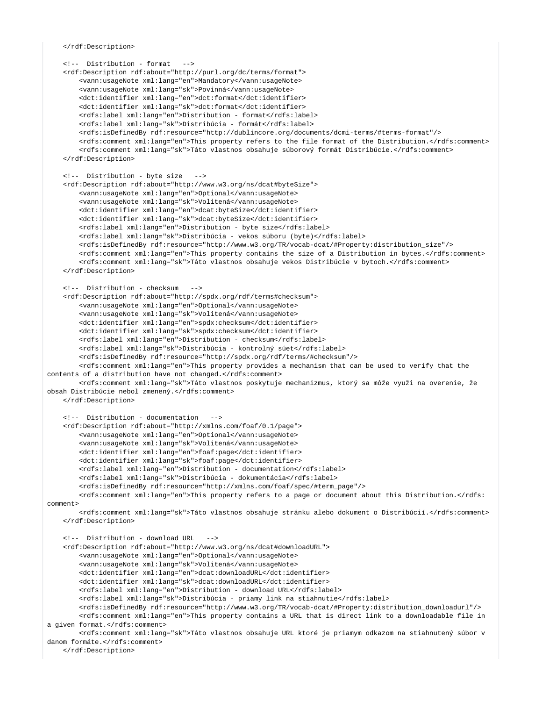</rdf:Description>

```
 <!-- Distribution - format -->
     <rdf:Description rdf:about="http://purl.org/dc/terms/format"> 
         <vann:usageNote xml:lang="en">Mandatory</vann:usageNote>
         <vann:usageNote xml:lang="sk">Povinná</vann:usageNote>
         <dct:identifier xml:lang="en">dct:format</dct:identifier>
         <dct:identifier xml:lang="sk">dct:format</dct:identifier>
         <rdfs:label xml:lang="en">Distribution - format</rdfs:label>
         <rdfs:label xml:lang="sk">Distribúcia - formát</rdfs:label>
         <rdfs:isDefinedBy rdf:resource="http://dublincore.org/documents/dcmi-terms/#terms-format"/>
         <rdfs:comment xml:lang="en">This property refers to the file format of the Distribution.</rdfs:comment>
         <rdfs:comment xml:lang="sk">Táto vlastnos obsahuje súborový formát Distribúcie.</rdfs:comment>
     </rdf:Description>
     <!-- Distribution - byte size -->
     <rdf:Description rdf:about="http://www.w3.org/ns/dcat#byteSize"> 
         <vann:usageNote xml:lang="en">Optional</vann:usageNote>
         <vann:usageNote xml:lang="sk">Volitená</vann:usageNote>
         <dct:identifier xml:lang="en">dcat:byteSize</dct:identifier>
         <dct:identifier xml:lang="sk">dcat:byteSize</dct:identifier>
         <rdfs:label xml:lang="en">Distribution - byte size</rdfs:label>
         <rdfs:label xml:lang="sk">Distribúcia - vekos súboru (byte)</rdfs:label>
         <rdfs:isDefinedBy rdf:resource="http://www.w3.org/TR/vocab-dcat/#Property:distribution_size"/>
         <rdfs:comment xml:lang="en">This property contains the size of a Distribution in bytes.</rdfs:comment>
         <rdfs:comment xml:lang="sk">Táto vlastnos obsahuje vekos Distribúcie v bytoch.</rdfs:comment>
     </rdf:Description>
     <!-- Distribution - checksum -->
     <rdf:Description rdf:about="http://spdx.org/rdf/terms#checksum"> 
         <vann:usageNote xml:lang="en">Optional</vann:usageNote>
         <vann:usageNote xml:lang="sk">Volitená</vann:usageNote>
         <dct:identifier xml:lang="en">spdx:checksum</dct:identifier>
         <dct:identifier xml:lang="sk">spdx:checksum</dct:identifier>
         <rdfs:label xml:lang="en">Distribution - checksum</rdfs:label>
         <rdfs:label xml:lang="sk">Distribúcia - kontrolný súet</rdfs:label>
         <rdfs:isDefinedBy rdf:resource="http://spdx.org/rdf/terms/#checksum"/>
         <rdfs:comment xml:lang="en">This property provides a mechanism that can be used to verify that the 
contents of a distribution have not changed.</rdfs:comment>
         <rdfs:comment xml:lang="sk">Táto vlastnos poskytuje mechanizmus, ktorý sa môže využi na overenie, že 
obsah Distribúcie nebol zmenený.</rdfs:comment>
     </rdf:Description>
     <!-- Distribution - documentation -->
     <rdf:Description rdf:about="http://xmlns.com/foaf/0.1/page"> 
         <vann:usageNote xml:lang="en">Optional</vann:usageNote>
         <vann:usageNote xml:lang="sk">Volitená</vann:usageNote>
         <dct:identifier xml:lang="en">foaf:page</dct:identifier>
         <dct:identifier xml:lang="sk">foaf:page</dct:identifier>
         <rdfs:label xml:lang="en">Distribution - documentation</rdfs:label>
         <rdfs:label xml:lang="sk">Distribúcia - dokumentácia</rdfs:label>
         <rdfs:isDefinedBy rdf:resource="http://xmlns.com/foaf/spec/#term_page"/>
         <rdfs:comment xml:lang="en">This property refers to a page or document about this Distribution.</rdfs:
comment>
         <rdfs:comment xml:lang="sk">Táto vlastnos obsahuje stránku alebo dokument o Distribúcií.</rdfs:comment>
     </rdf:Description>
     <!-- Distribution - download URL -->
     <rdf:Description rdf:about="http://www.w3.org/ns/dcat#downloadURL"> 
         <vann:usageNote xml:lang="en">Optional</vann:usageNote>
         <vann:usageNote xml:lang="sk">Volitená</vann:usageNote>
         <dct:identifier xml:lang="en">dcat:downloadURL</dct:identifier>
         <dct:identifier xml:lang="sk">dcat:downloadURL</dct:identifier>
         <rdfs:label xml:lang="en">Distribution - download URL</rdfs:label>
         <rdfs:label xml:lang="sk">Distribúcia - priamy link na stiahnutie</rdfs:label>
         <rdfs:isDefinedBy rdf:resource="http://www.w3.org/TR/vocab-dcat/#Property:distribution_downloadurl"/>
         <rdfs:comment xml:lang="en">This property contains a URL that is direct link to a downloadable file in 
a given format.</rdfs:comment>
         <rdfs:comment xml:lang="sk">Táto vlastnos obsahuje URL ktoré je priamym odkazom na stiahnutený súbor v 
danom formáte.</rdfs:comment>
```

```
 </rdf:Description>
```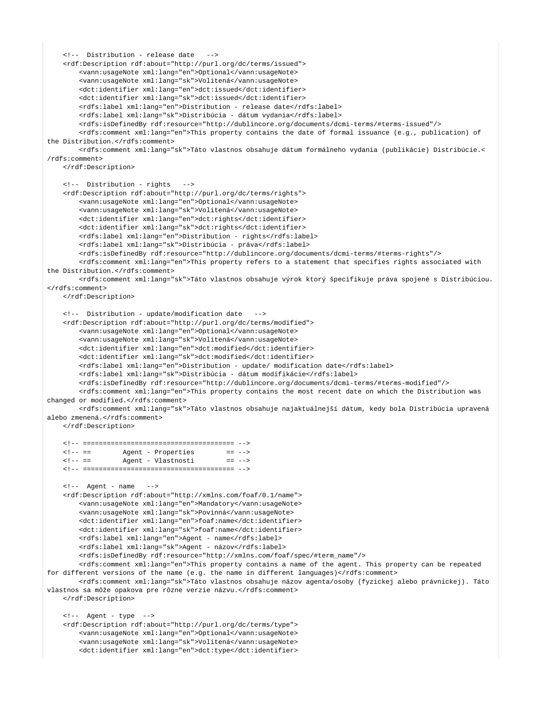```
 <!-- Distribution - release date -->
    <rdf:Description rdf:about="http://purl.org/dc/terms/issued"> 
         <vann:usageNote xml:lang="en">Optional</vann:usageNote>
         <vann:usageNote xml:lang="sk">Volitená</vann:usageNote>
         <dct:identifier xml:lang="en">dct:issued</dct:identifier>
         <dct:identifier xml:lang="sk">dct:issued</dct:identifier>
         <rdfs:label xml:lang="en">Distribution - release date</rdfs:label>
        <rdfs:label xml:lang="sk">Distribúcia - dátum vydania</rdfs:label>
        <rdfs:isDefinedBy rdf:resource="http://dublincore.org/documents/dcmi-terms/#terms-issued"/>
         <rdfs:comment xml:lang="en">This property contains the date of formal issuance (e.g., publication) of 
the Distribution.</rdfs:comment>
        <rdfs:comment xml:lang="sk">Táto vlastnos obsahuje dátum formálneho vydania (publikácie) Distribúcie.<
/rdfs:comment>
    </rdf:Description>
    <!-- Distribution - rights -->
    <rdf:Description rdf:about="http://purl.org/dc/terms/rights"> 
         <vann:usageNote xml:lang="en">Optional</vann:usageNote>
         <vann:usageNote xml:lang="sk">Volitená</vann:usageNote>
         <dct:identifier xml:lang="en">dct:rights</dct:identifier>
        <dct:identifier xml:lang="sk">dct:rights</dct:identifier>
        <rdfs:label xml:lang="en">Distribution - rights</rdfs:label>
        <rdfs:label xml:lang="sk">Distribúcia - práva</rdfs:label>
        <rdfs:isDefinedBy rdf:resource="http://dublincore.org/documents/dcmi-terms/#terms-rights"/>
        <rdfs:comment xml:lang="en">This property refers to a statement that specifies rights associated with 
the Distribution.</rdfs:comment>
        <rdfs:comment xml:lang="sk">Táto vlastnos obsahuje výrok ktorý špecifikuje práva spojené s Distribúciou.
</rdfs:comment>
    </rdf:Description>
    <!-- Distribution - update/modification date -->
     <rdf:Description rdf:about="http://purl.org/dc/terms/modified"> 
         <vann:usageNote xml:lang="en">Optional</vann:usageNote>
         <vann:usageNote xml:lang="sk">Volitená</vann:usageNote>
        <dct:identifier xml:lang="en">dct:modified</dct:identifier>
        <dct:identifier xml:lang="sk">dct:modified</dct:identifier>
        <rdfs:label xml:lang="en">Distribution - update/ modification date</rdfs:label>
         <rdfs:label xml:lang="sk">Distribúcia - dátum modifikácie</rdfs:label>
         <rdfs:isDefinedBy rdf:resource="http://dublincore.org/documents/dcmi-terms/#terms-modified"/>
         <rdfs:comment xml:lang="en">This property contains the most recent date on which the Distribution was 
changed or modified.</rdfs:comment>
        <rdfs:comment xml:lang="sk">Táto vlastnos obsahuje najaktuálnejší dátum, kedy bola Distribúcia upravená 
alebo zmenená.</rdfs:comment>
    </rdf:Description>
    <!-- ====================================== -->
    <!-- == Agent - Properties == -->
   \langle!-- == \qquad Agent - Vlastnosti == -->
    <!-- ====================================== --> 
   \langle!-- Agent - name -->
     <rdf:Description rdf:about="http://xmlns.com/foaf/0.1/name"> 
         <vann:usageNote xml:lang="en">Mandatory</vann:usageNote>
         <vann:usageNote xml:lang="sk">Povinná</vann:usageNote>
        <dct:identifier xml:lang="en">foaf:name</dct:identifier>
        <dct:identifier xml:lang="sk">foaf:name</dct:identifier>
         <rdfs:label xml:lang="en">Agent - name</rdfs:label>
        <rdfs:label xml:lang="sk">Agent - názov</rdfs:label>
         <rdfs:isDefinedBy rdf:resource="http://xmlns.com/foaf/spec/#term_name"/>
        <rdfs:comment xml:lang="en">This property contains a name of the agent. This property can be repeated 
for different versions of the name (e.g. the name in different languages)</rdfs:comment>
        <rdfs:comment xml:lang="sk">Táto vlastnos obsahuje názov agenta/osoby (fyzickej alebo právnickej). Táto 
vlastnos sa môže opakova pre rôzne verzie názvu.</rdfs:comment>
    </rdf:Description>
    <!-- Agent - type -->
    <rdf:Description rdf:about="http://purl.org/dc/terms/type"> 
        <vann:usageNote xml:lang="en">Optional</vann:usageNote>
         <vann:usageNote xml:lang="sk">Volitená</vann:usageNote>
         <dct:identifier xml:lang="en">dct:type</dct:identifier>
```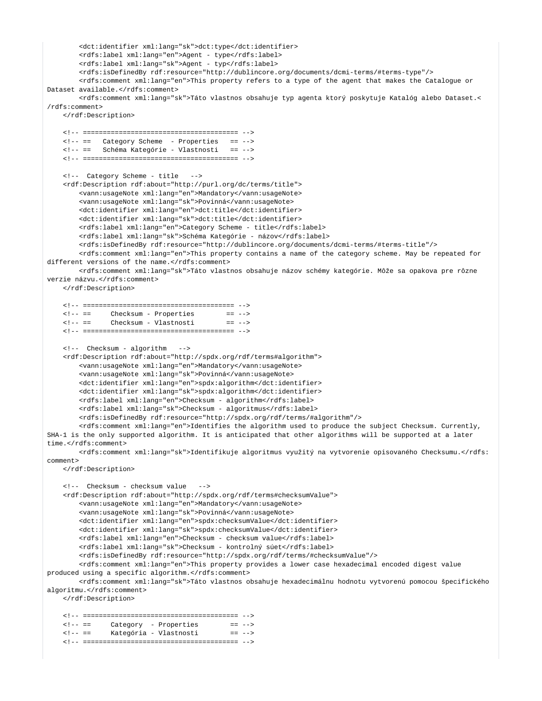```
<dct:identifier xml:lang="sk">dct:type</dct:identifier>
       <rdfs:label xml:lang="en">Agent - type</rdfs:label>
       <rdfs:label xml:lang="sk">Agent - typ</rdfs:label>
       <rdfs:isDefinedBy rdf:resource="http://dublincore.org/documents/dcmi-terms/#terms-type"/>
       <rdfs:comment xml:lang="en">This property refers to a type of the agent that makes the Catalogue or
Dataset available.</rdfs:comment>
       <rdfs:comment xml:lang="sk">Táto vlastnos obsahuje typ agenta ktorý poskytuje Katalóg alebo Dataset.<
/rdfs:comments</rdf:Description>
   <!-- == Category Scheme - Properties == -->
   <!-- == Schéma Kategórie - Vlastnosti
                                         = - -<!-- Category Scheme - title -->
   <rdf:Description rdf:about="http://purl.org/dc/terms/title">
       <vann:usageNote xml:lang="en">Mandatory</vann:usageNote>
       <vann:usageNote xml:lang="sk">Povinná</vann:usageNote>
       <dct:identifier xml:lang="en">dct:title</dct:identifier>
       <dct:identifier xml:lang="sk">dct:title</dct:identifier>
       <rdfs:label xml:lang="en">Category Scheme - title</rdfs:label>
       <rdfs:label xml:lang="sk">Schéma Kategórie - názov</rdfs:label>
       <rdfs:isDefinedBy rdf:resource="http://dublincore.org/documents/dcmi-terms/#terms-title"/>
       <rdfs:comment xml:lang="en">This property contains a name of the category scheme. May be repeated for
different versions of the name.</rdfs:comment>
       <rdfs:comment xml:lang="sk">Táto vlastnos obsahuje názov schémy kategórie. Môže sa opakova pre rôzne
verzie názvu. </rdfs: comment>
   </rdf:Description>
   \lt!! -- ==
            Checksum - Properties
                                       = 2 - 5\leq 1 - 1Checksum - Vlastnosti
                                        = = ->
   <!-- Checksum - algorithm
                             --<rdf:Description rdf:about="http://spdx.org/rdf/terms#algorithm">
       <vann:usageNote xml:lang="en">Mandatory</vann:usageNote>
       <vann:usageNote xml:lang="sk">Povinná</vann:usageNote>
       <dct:identifier xml:lang="en">spdx:algorithm</dct:identifier>
       <dct:identifier xml:lang="sk">spdx:algorithm</dct:identifier>
       <rdfs:label xml:lang="en">Checksum - algorithm</rdfs:label>
       <rdfs:label xml:lang="sk">Checksum - algoritmus</rdfs:label>
       <rdfs:isDefinedBy rdf:resource="http://spdx.org/rdf/terms/#algorithm"/>
       <rdfs:comment xml:lang="en">Identifies the algorithm used to produce the subject Checksum. Currently,
SHA-1 is the only supported algorithm. It is anticipated that other algorithms will be supported at a later
time.</rdfs:comment>
       <rdfs:comment xml:lang="sk">Identifikuje algoritmus využitý na vytvorenie opisovaného Checksumu.</rdfs:
comment</rdf:Description>
   <!-- Checksum - checksum value
                                  --<rdf:Description rdf:about="http://spdx.org/rdf/terms#checksumValue">
       <vann:usageNote xml:lang="en">Mandatory</vann:usageNote>
       <vann:usageNote xml:lang="sk">Povinná</vann:usageNote>
       <dct:identifier xml:lang="en">spdx:checksumValue</dct:identifier>
       <dct:identifier xml:lang="sk">spdx:checksumValue</dct:identifier>
       <rdfs:label xml:lang="en">Checksum - checksum value</rdfs:label>
       <rdfs:label xml:lang="sk">Checksum - kontrolný súet</rdfs:label>
       <rdfs:isDefinedBy rdf:resource="http://spdx.org/rdf/terms/#checksumValue"/>
       <rdfs:comment xml:lang="en">This property provides a lower case hexadecimal encoded digest value
produced using a specific algorithm.</rdfs:comment>
       <rdfs:comment xml:lang="sk">Táto vlastnos obsahuje hexadecimálnu hodnotu vytvorenú pomocou špecifického
algoritmu.</rdfs:comment>
   </rdf:Description>
   Category - Properties
   \leq 1 - 1 == 2 - 5<!-- == Kategória - Vlastnosti
                                        = 2 - 5
```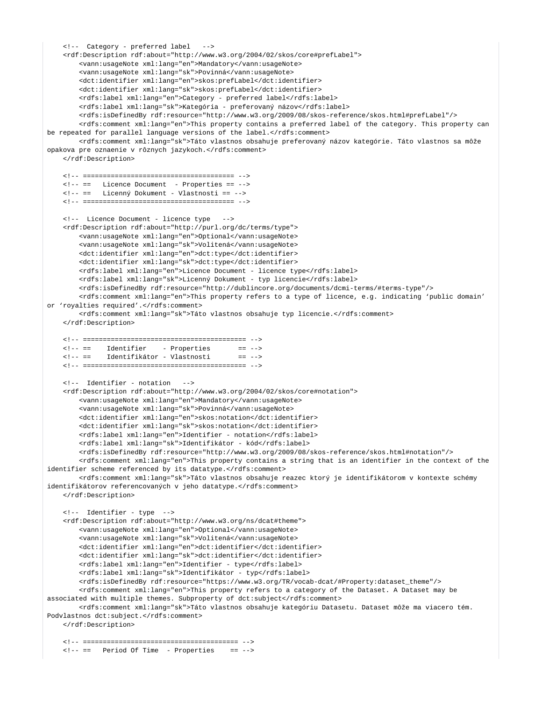```
 <!-- Category - preferred label -->
     <rdf:Description rdf:about="http://www.w3.org/2004/02/skos/core#prefLabel"> 
        <vann:usageNote xml:lang="en">Mandatory</vann:usageNote>
        <vann:usageNote xml:lang="sk">Povinná</vann:usageNote>
        <dct:identifier xml:lang="en">skos:prefLabel</dct:identifier>
        <dct:identifier xml:lang="sk">skos:prefLabel</dct:identifier>
        <rdfs:label xml:lang="en">Category - preferred label</rdfs:label>
         <rdfs:label xml:lang="sk">Kategória - preferovaný názov</rdfs:label>
        <rdfs:isDefinedBy rdf:resource="http://www.w3.org/2009/08/skos-reference/skos.html#prefLabel"/>
        <rdfs:comment xml:lang="en">This property contains a preferred label of the category. This property can 
be repeated for parallel language versions of the label.</rdfs:comment>
        <rdfs:comment xml:lang="sk">Táto vlastnos obsahuje preferovaný názov kategórie. Táto vlastnos sa môže 
opakova pre oznaenie v rôznych jazykoch.</rdfs:comment>
     </rdf:Description>
    <!-- ====================================== --> 
    <!-- == Licence Document - Properties == --> 
    <!-- == Licenný Dokument - Vlastnosti == --> 
    <!-- ====================================== --> 
    <!-- Licence Document - licence type -->
    <rdf:Description rdf:about="http://purl.org/dc/terms/type"> 
        <vann:usageNote xml:lang="en">Optional</vann:usageNote>
        <vann:usageNote xml:lang="sk">Volitená</vann:usageNote>
        <dct:identifier xml:lang="en">dct:type</dct:identifier>
        <dct:identifier xml:lang="sk">dct:type</dct:identifier>
         <rdfs:label xml:lang="en">Licence Document - licence type</rdfs:label>
        <rdfs:label xml:lang="sk">Licenný Dokument - typ licencie</rdfs:label>
        <rdfs:isDefinedBy rdf:resource="http://dublincore.org/documents/dcmi-terms/#terms-type"/>
        <rdfs:comment xml:lang="en">This property refers to a type of licence, e.g. indicating 'public domain' 
or 'royalties required'.</rdfs:comment>
         <rdfs:comment xml:lang="sk">Táto vlastnos obsahuje typ licencie.</rdfs:comment>
    </rdf:Description>
    <!-- ========================================= -->
    <!-- == Identifier - Properties == -->
    <!-- == Identifikátor - Vlastnosti == -->
    <!-- ========================================= -->
     <!-- Identifier - notation -->
    <rdf:Description rdf:about="http://www.w3.org/2004/02/skos/core#notation"> 
        <vann:usageNote xml:lang="en">Mandatory</vann:usageNote>
        <vann:usageNote xml:lang="sk">Povinná</vann:usageNote>
        <dct:identifier xml:lang="en">skos:notation</dct:identifier>
        <dct:identifier xml:lang="sk">skos:notation</dct:identifier>
        <rdfs:label xml:lang="en">Identifier - notation</rdfs:label>
        <rdfs:label xml:lang="sk">Identifikátor - kód</rdfs:label>
        <rdfs:isDefinedBy rdf:resource="http://www.w3.org/2009/08/skos-reference/skos.html#notation"/>
        <rdfs:comment xml:lang="en">This property contains a string that is an identifier in the context of the 
identifier scheme referenced by its datatype.</rdfs:comment>
        <rdfs:comment xml:lang="sk">Táto vlastnos obsahuje reazec ktorý je identifikátorom v kontexte schémy 
identifikátorov referencovaných v jeho datatype.</rdfs:comment>
    </rdf:Description>
    <!-- Identifier - type -->
    <rdf:Description rdf:about="http://www.w3.org/ns/dcat#theme"> 
         <vann:usageNote xml:lang="en">Optional</vann:usageNote>
         <vann:usageNote xml:lang="sk">Volitená</vann:usageNote>
        <dct:identifier xml:lang="en">dct:identifier</dct:identifier>
         <dct:identifier xml:lang="sk">dct:identifier</dct:identifier>
        <rdfs:label xml:lang="en">Identifier - type</rdfs:label>
        <rdfs:label xml:lang="sk">Identifikátor - typ</rdfs:label>
        <rdfs:isDefinedBy rdf:resource="https://www.w3.org/TR/vocab-dcat/#Property:dataset_theme"/>
        <rdfs:comment xml:lang="en">This property refers to a category of the Dataset. A Dataset may be 
associated with multiple themes. Subproperty of dct:subject</rdfs:comment>
        <rdfs:comment xml:lang="sk">Táto vlastnos obsahuje kategóriu Datasetu. Dataset môže ma viacero tém. 
Podvlastnos dct: subject.</rdfs: comment>
    </rdf:Description>
    <!-- ======================================= --> 
    <!-- == Period Of Time - Properties == -->
```